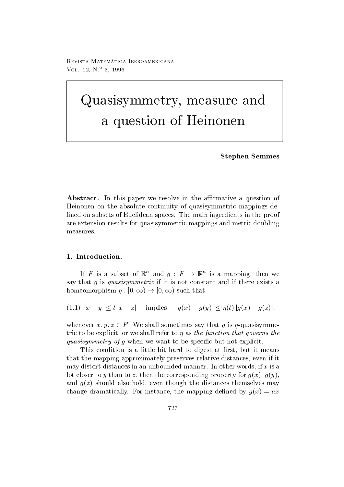Revista Matematica - Iberoamericana VOL. 12,  $N^{o}$  3, 1996

# quasister and a measure and the second contract of the second contract of the second contract of the second contract of the second contract of the second contract of the second contract of the second contract of the second <sup>a</sup> question of Heinonen

Stephen Semmes

Abstract- In this paper we resolve in the a-rmative a question of Heinonen on the absolute continuity of quasisymmetric mappings de fined on subsets of Euclidean spaces. The main ingredients in the proof are extension results for quasisymmetric mappings and metric doubling measures

If F is a subset of  $\mathbb{K}^n$  and  $q: F \to \mathbb{K}^n$  is a mapping, then we say that q is quasisymmetric if it is not constant and if there exists a homeomorphism  $\eta: [0, \infty) \to [0, \infty)$  such that

(1.1)  $|x - y| \le t |x - z|$  implies  $|g(x) - g(y)| \le \eta(t) |g(x) - g(z)|$ ,

whenever  $x, y, z \in F$ . We shall sometimes say that q is  $\eta$ -quasisymmetric to be explicit or we shall refer to - as the function that governs the quasisymmetry of q when we want to be specific but not explicit.

This condition is a little bit hard to digest at first, but it means that the mapping approximately preserves relative distances even if it may distort distances in an unbounded manner. In other words, if  $x$  is a lot closer to y than to z then the corresponding property for gx gy and given the distances that the distances of the distances the distances the distances of the distances of th change dramatically Formula density of the mapping density of the mapping density of the mapping density of the mapping density of the mapping density of the mapping density of the mapping density of the mapping density of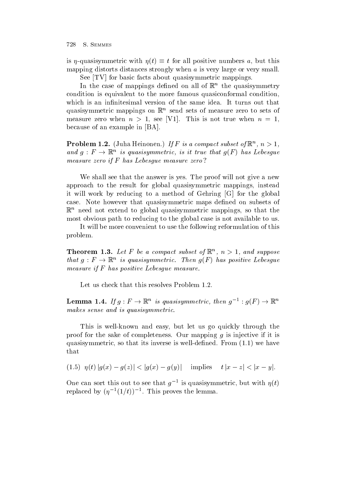is  $\eta$ -quasisymmetric with  $\eta(t) \equiv t$  for all positive numbers a, but this mapping distorts distances strongly when  $\alpha$  is very large or very small.

See [TV] for basic facts about quasisymmetric mappings.

In the case of mappings dened on all of <sup>R</sup><sup>n</sup> the quasisymmetry condition is equivalent to the more famous quasiconformal condition which is an infinitesimal version of the same idea. It turns out that quasisymmetric mappings on <sup>R</sup><sup>n</sup> send sets of measure zero to sets of measure zero when  $n > 1$ , see [V1]. This is not true when  $n = 1$ . because of an example in  $|BA|$ .

**Problem 1.2.** (Juna Heinonen.) If is a compact subset of  $\mathbb{R}$ ,  $n > 1$ , and  $g: F \to \mathbb{K}^n$  is quasisymmetric, is it true that  $g(F)$  has Lebesque measure zero if F has Lebesgue measure zero?

We shall see that the answer is yes. The proof will not give a new approach to the result for global quasisymmetric mappings, instead it will work by reducing to a method of Gehring [G] for the global case. Note however that quasisymmetric maps defined on subsets of  $\mathbb{R}^n$  need not extend to global quasisymmetric mappings, so that the most obvious path to reducing to the global case is not available to us

It will be more convenient to use the following reformulation of this problem

**THEOLEM I.S.** Let  $\Gamma$  be a compact subset of  $\mathbb{R}^n$ ,  $n > 1$ , and suppose that  $q: F \to \mathbb{K}^n$  is quasisymmetric. Then  $q(F)$  has positive Lebesque measure if  $F$  has positive Lebesgue measure.

Let us check that this resolves Problem 1.2.

**Lemma 1.4.** If  $g: F \to \mathbb{K}^n$  is quasisymmetric, then  $g^{-1}: g(F) \to \mathbb{K}^n$ makes sense and is quasisymmetric.

This is well-known and easy, but let us go quickly through the proof for the sake of completeness. Our mapping  $g$  is injective if it is  $\mathbf{u}$  is a so that its inverse is well-denoted From  $\mathbf{v}$  . The inverse is well-denoted From  $\mathbf{v}$ that

(1.5)  $\eta(t) |g(x) - g(z)| < |g(x) - g(y)|$  implies  $t |x - z| < |x - y|$ .

One can sort this out to see that  $q$  – is quasisymmetric, but with  $\eta(t)$ replaced by  $(\eta \mid \neg(1/t))$  - This proves the lemma.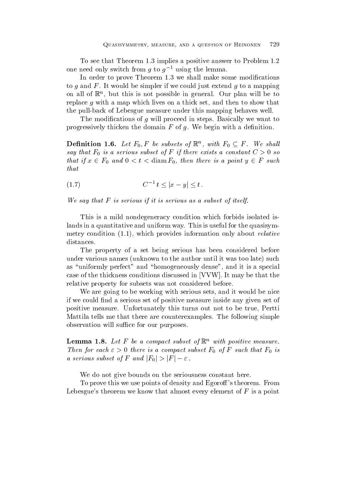To see that Theorem 1.3 implies a positive answer to Problem 1.2 one need only switch from g to  $g^{-1}$  using the lemma.

In order to prove Theorem 1.3 we shall make some modifications to q and  $F$ . It would be simpler if we could just extend q to a mapping on all of <sup>R</sup><sup>n</sup> but this is not possible in general Our plan willbe to replace  $g$  with a map which lives on a thick set, and then to show that the pull-back of Lebesgue measure under this mapping behaves well.

The modifications of q will proceed in steps. Basically we want to progressively thicken the domain  $F$  of  $g$ . We begin with a definition.

**Definition 1.6.** Let  $F_0$ , F be subsets of  $\mathbb{R}^n$ , with  $F_0 \subseteq F$ . We shall say that F-1 is a serious subset of  $\mathcal{S}$  is a constant  $\mathcal{S}$  is a constant C in the constant C  $\mathcal{S}$ that if  $x \in F_0$  and  $0 < t <$  diam  $F_0$ , then there is a point  $y \in F$  such that

$$
(1.7) \tC^{-1} t \le |x - y| \le t.
$$

We say that  $F$  is serious if it is serious as a subset of itself.

This is a mild nondegeneracy condition which forbids isolated is lands in a quantitative and uniform way. This is useful for the quasisymmetry condition  $\mathbb{R}^n$  . The condition only above relative relative relative relative relative relative relative relative relative relative relative relative relative relative relative relative relative relative relat distances.

The property of a set being serious has been considered before under various names under the author under the author under the author unit is a too later the such as too lat as "uniformly perfect" and "homogeneously dense", and it is a special case of the thickness conditions discussed in [VVW]. It may be that the relative property for subsets was not considered before

We are going to be working with serious sets, and it would be nice if we could find a serious set of positive measure inside any given set of positive measure. Unfortunately this turns out not to be true, Pertti Mattila tells me that there are counterexamples The following simple observation will support the central support of the central support of the central support of the central support of the central support of the central support of the central support of the central support of the central s

**Lemma 1.8.** Let  $r$  be a compact subset of  $\mathbb{R}^n$  with positive measure. Then for each  $\epsilon$  , we come is a compact subset F-  $\eta$  -  $\tau$  such that F-  $\eta$  is a compact that  $\tau$ a serious subset of F and  $|F_0|>|F|-\varepsilon$ .

We do not give bounds on the seriousness constant here.

To prove this we use points of density and Egoroff's theorem. From Lebesgue's theorem we know that almost every element of  $F$  is a point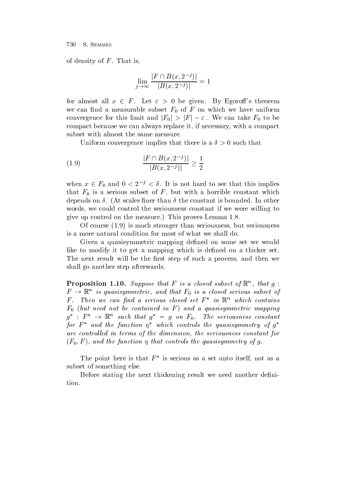of density of  $F$ . That is,

$$
\lim_{j \to \infty} \frac{|F \cap B(x, 2^{-j})|}{|B(x, 2^{-j})|} = 1
$$

for almost all  $x \in F$ . Let  $\varepsilon > 0$  be given. By Egoroff's theorem  $\mathsf{v}$ convergence for this limit and  $|F_0| > |F| - \varepsilon$ . We can take  $F_0$  to be compact because we can always replace it, if necessary, with a compact subset with almost the same measure

Uniform convergence implies that there is a  $\delta > 0$  such that

(1.9) 
$$
\frac{|F \cap B(x, 2^{-j})|}{|B(x, 2^{-j})|} \ge \frac{1}{2}
$$

when  $x \in F_0$  and  $0 < 2^{-j} < \delta$ . It is not hard to see that this implies that  $\mathbf{F}=\mathbf{0}$  is a serious subset of  $\mathbf{F}=\mathbf{0}$  is a serious subset of  $\mathbf{F}=\mathbf{0}$  . The constant depends on  $\delta$ . (At scales finer than  $\delta$  the constant is bounded. In other words, we could control the seriousness constant if we were willing to  $\mathbf u$  up to the measure  $\mathbf u$  and  $\mathbf v$  is proved to the measurement of  $\mathbf v$ 

Of course  is much stronger than seriousness but seriousness is a more natural condition for most of what we shall do

Given a quasisymmetric mapping defined on some set we would like to modify it to get a mapping which is defined on a thicker set The next result will be the first step of such a process, and then we shall go another step afterwards

**Proposition 1.10.** Suppose that  $\Gamma$  is a closed subset of  $\mathbb{R}$ , that  $q$ :  $F~\to~\mathbb{K}^n$  is quasisymmetric, and that  $F_0$  is a closed serious subset of  $\mathbf r$  . Then we can nna a serious closed set  $\mathbf r$  - in  $\mathbb R$  - which contains F- but need not be contained in <sup>F</sup> and a quasisymmetric mapping  $g^*: F^* \to \mathbb{R}^n$  such that  $g^* = g$  on  $F_0$ . The seriousness constant for **F** and the function  $\eta$  which controls the quasisymmetry of  $q$ are control led in terms of the dimension- the seriousness constant for  $\mathcal{A} = \{ \mathcal{A}, \mathcal{A}, \mathcal{A}, \mathcal{A}, \mathcal{A}, \mathcal{A}, \mathcal{A}, \mathcal{A}, \mathcal{A}, \mathcal{A}, \mathcal{A}, \mathcal{A}, \mathcal{A}, \mathcal{A}, \mathcal{A}, \mathcal{A}, \mathcal{A}, \mathcal{A}, \mathcal{A}, \mathcal{A}, \mathcal{A}, \mathcal{A}, \mathcal{A}, \mathcal{A}, \mathcal{A}, \mathcal{A}, \mathcal{A}, \mathcal{A}, \mathcal{A}, \mathcal{A}, \mathcal{A}, \mathcal{A}, \mathcal{A}, \mathcal{A}, \mathcal{A},$ 

The point here is that  $F$  is serious as a set unto itself, not as a subset of something else

Before stating the next thickening result we need another definition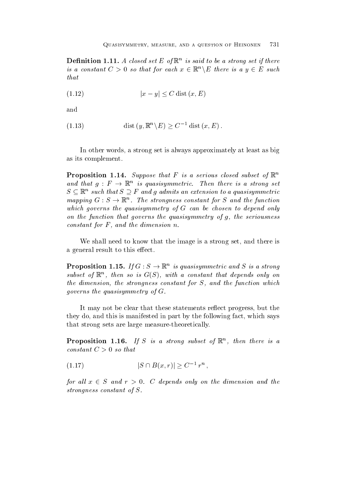**Demition 1.11.** A closed set E of  $\mathbb{R}$  is said to be a strong set if there is a constant  $C > 0$  so that for each  $x \in \mathbb{R}^n \backslash E$  there is a  $y \in E$  such that

$$
(1.12)\t\t\t |x - y| \le C \operatorname{dist}(x, E)
$$

and

(1.13) 
$$
\operatorname{dist}(y, \mathbb{R}^n \backslash E) \ge C^{-1} \operatorname{dist}(x, E)
$$

In other words, a strong set is always approximately at least as big as its complement

**Proposition 1.14.** Suppose that  $\mathbf{r}$  is a serious closed subset of  $\mathbb{R}^n$ and that  $q: F \to \mathbb{K}^n$  is quasisymmetric. Then there is a strong set  $S \subseteq \mathbb{R}^n$  such that  $S \supseteq F$  and g admits an extension to a quasisymmetric mapping  $G : S \to \mathbb{R}^n$ . The strongness constant for S and the function which governs the quasisymmetry of G can be chosen to depend only on the function that governs the quasisymmetry of g- the seriousness constant for F - and the dimension number of  $\alpha$ 

We shall need to know that the image is a strong set, and there is a general result to this effect.

**Proposition 1.15.** If  $G : S \to \mathbb{K}^n$  is quasisymmetric and S is a strong subset of  $\mathbb{R}^n$ , then so is  $G(S)$ , with a constant that depends only on the dimension- the strongheat formation, for Monte mild function which which which which which which which which which which were approached with a strong with a strong with which with a strong with which with with with wi governs the quasisymmetry of  $G$ .

It may not be clear that these statements reflect progress, but the they do and this is manifested in part by the following fact which says that strong sets are large measure-theoretically.

**Proposition 1.10.** If  $S$  is a strong subset of  $\mathbb{R}$ , then there is a constant  $C > 0$  so that

$$
(1.17) \t\t |S \cap B(x,r)| \ge C^{-1} r^n ,
$$

for all  $x \in S$  and  $r > 0$ . C depends only on the dimension and the strongness constant of S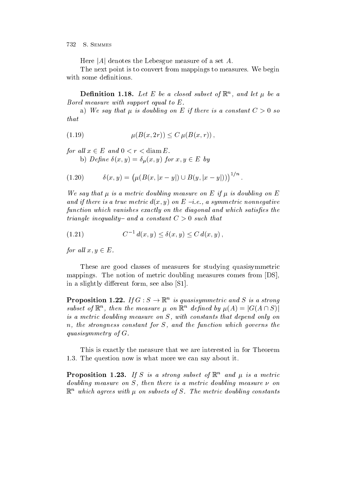Here |A| denotes the Lebesgue measure of a set A.

The next point is to convert from mappings to measures. We begin with some definitions.

**Demition 1.18.** Let E be a closed subset of  $\mathbb{R}^n$ , and let  $\mu$  be a

a) We say that  $\mu$  is doubling on E if there is a constant  $C > 0$  so  $that$ 

(1.19) 
$$
\mu(B(x, 2r)) \le C \mu(B(x, r)),
$$

for all  $x \in E$  and  $0 < r < \text{diam } E$ .

b) Define  $\delta(x,y) = \delta_u(x,y)$  for  $x,y \in E$  by

$$
(1.20) \t\t\t \delta(x,y) = (\mu(B(x,|x-y|) \cup B(y,|x-y|)))^{1/n}.
$$

we say that is a metric doubling measure on E if  $\mathbb{R}^n$  . The internal measure on E if  $\mathbb{R}^n$ and if there is a symmetric dividibly and the individual distribution of the symmetric state of the symmetric function which vanishes exactly on the diagonal and which satisfies the triangle inequality- and a constant  $C > 0$  such that

(1.21) 
$$
C^{-1} d(x, y) \le \delta(x, y) \le C d(x, y),
$$

for all  $x, y \in E$ .

These are good classes of measures for studying quasisymmetric mappings. The notion of metric doubling measures comes from  $|DS|$ , in a slightly different form, see also  $[S1]$ .

**Proposition 1.22.** If  $G : S \to \mathbb{K}^n$  is quasisymmetric and S is a strong subset of  $\mathbb{R}^n$ , then the measure  $\mu$  on  $\mathbb{R}^n$  defined by  $\mu(A) = |G(A \cap S)|$ j is a metric doubling measure on S- with tenerative measure only that the property only only n- the strongness constant for S- and the function which governs the quasisymmetry of  $G$ .

This is exactly the measure that we are interested in for Theorem 1.3. The question now is what more we can say about it.

**Proposition 1.25.** If S is a strong subset of  $\mathbb{R}^n$  and  $\mu$  is a metric doubling measure is a metric double is a measure on demonstration and measure is a measure of the state of the  $\mathbb{R}^n$  which agrees with  $\mu$  on subsets of S. The metric abubiting constants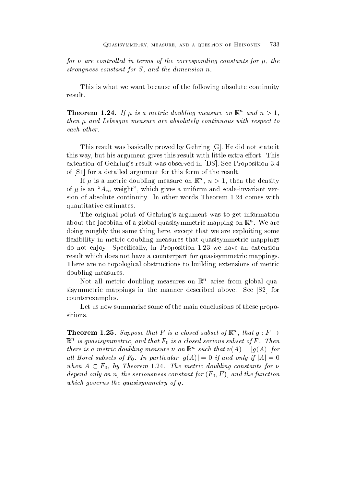for are control led in terms of the corresponding constants for - the strongness constant for S-C  $\sim$  S-C  $\sim$  S-C  $\sim$  S-C  $\sim$  S-C  $\sim$  S-C  $\sim$  S-C  $\sim$  S-C  $\sim$  S-C  $\sim$ 

This is what we want because of the following absolute continuity result

**Theorem 1.24.** If  $\mu$  is a metric abituity measure on  $\mathbb{R}^n$  and  $n > 1$ , then  $\mathcal{L}$  then  $\mathcal{L}$  and  $\mathcal{L}$  are absolutely continuous with respect to  $\mathcal{L}$ each other

This result was basically proved by Gehring [G]. He did not state it this way, but his argument gives this result with little extra effort. This extension of Gehring's result was observed in [DS]. See Proposition 3.4 of  $[S1]$  for a detailed argument for this form of the result.

If  $\mu$  is a metric doubling measure on  $\mathbb{R}$ ,  $n > 1$ , then the density  $\mathbf{r}$  we a uniform and scaleinvariant  $\alpha$ sion of absolute continuity. In other words Theorem 1.24 comes with quantitative estimates

The original point of Gehring's argument was to get information about the jacobian of a global quasisymmetric mapping on  $\mathbb{R}^n$  . We are doing roughly the same thing here, except that we are exploiting some flexibility in metric doubling measures that quasisymmetric mappings do not enjoy. Specifically, in Proposition 1.23 we have an extension result which does not have a counterpart for quasisymmetric mappings. There are no topological obstructions to building extensions of metric doubling measures

Not all metric doubling measures on  $\mathbb{R}^n$  arise from global quasisymmetric mappings in the manner described above. See [S2] for counterexamples

Let us now summarize some of the main conclusions of these propositions

**Theorem 1.25.** Suppose that F is a closed subset of  $\mathbb{K}^n$ , that  $q: F \to$  $\mathbb{R}^n$  is quasisymmetric, and that  $\mathbf{r}_0$  is a closed serious subset of  $\mathbf{r}$  . Then there is a metric doubling measure  $\nu$  on  $\mathbb{R}^n$  such that  $\nu(A) = |g(A)|$  for all Borel subsets of  $F_0$ . In particular  $|g(A)| = 0$  if and only if  $|A| = 0$ when  $A \subset F_0$ , by Theorem 1.24. The metric doubling constants for  $\nu$ depend on the series constant for F-reduced and the function of the function of the function of the function of the function of the function of the function of the function of the function of the function of the function o which governs the quasisymmetry of  $q$ .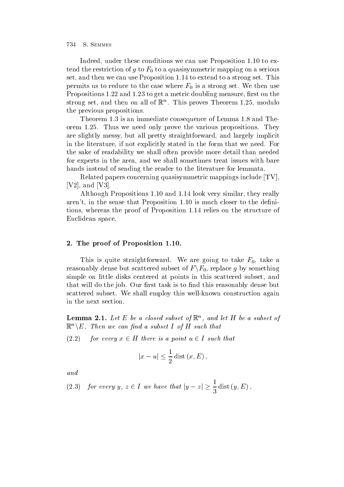Indeed, under these conditions we can use Proposition 1.10 to exthe restriction of graduate restriction of  $\mathcal{U}$ set, and then we can use Proposition 1.14 to extend to a strong set. This permits us to reduce the case where  $\mathbf{u}$  is a strong set  $\mathbf{u}$ Propositions 1.22 and 1.23 to get a metric doubling measure, first on the strong set, and then on all of  $\mathbb R^+$ . This proves Theorem 1.25, modulo the previous propositions

Theorem 1.3 is an immediate consequence of Lemma 1.8 and Theorem 1.25. Thus we need only prove the various propositions. They are slightly messy, but all pretty straightforward, and largely implicit in the literature, if not explicitly stated in the form that we need. For the sake of readability we shall often provide more detail than needed for experts in the area, and we shall sometimes treat issues with bare hands instead of sending the reader to the literature for lemmata

Related papers concerning quasisymmetric mappings include [TV]. [ $V2$ ], and [ $V3$ ].

Although Propositions 1.10 and 1.14 look very similar, they really aren't, in the sense that Proposition  $1.10$  is much closer to the definitions, whereas the proof of Proposition 1.14 relies on the structure of Euclidean space

### - The proof of Proposition - The proof of Proposition - The proof of Proposition - The proof of Proposition -

This is a straightforward we are going to take  $\alpha$  are going to take  $\alpha$  and the straightforward to take  $\alpha$ reasonably dense but scattered subset of  $F\backslash F_0,$  replace  $g$  by something simple on little disks centered at points in this scattered subset, and that will do the job. Our first task is to find this reasonably dense but scattered subset. We shall employ this well-known construction again in the next section

**Lemma 2.1.** Let E be a closed subset of  $\mathbb{R}$ , and let  $\mathbb{H}$  be a subset of  $\mathbb{R}^n \setminus E$ . Then we can find a subset I of H such that

 $(2.2)$ for every  $x \in H$  there is a point  $u \in I$  such that

$$
|x - u| \le \frac{1}{2} \operatorname{dist}(x, E)
$$

and

(2.3) for every 
$$
y, z \in I
$$
 we have that  $|y - z| \ge \frac{1}{3}$  dist  $(y, E)$ .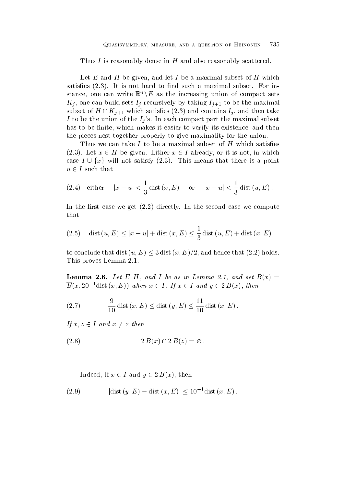Thus I is reasonably dense in H and also reasonably scattered.

Let E and H be given, and let I be a maximal subset of H which satises It is not hard to nd such a maximal subset For in stance, one can write  $\mathbb{R}^n \backslash E$  as the increasing union of compact sets  $K_i$ , one can build sets  $I_i$  recursively by taking  $I_{i+1}$  to be the maximal subset of  $H \cap K_{j+1}$  which satisfies (2.3) and contains  $I_j$ , and then take I to be the union of the  $I_i$ 's. In each compact part the maximal subset has to be finite, which makes it easier to verify its existence, and then the pieces nest together properly to give maximality for the union

Thus we can take  $I$  to be a maximal subset of  $H$  which satisfies  $(2.3)$ . Let  $x \in H$  be given. Either  $x \in I$  already, or it is not, in which case  $I \cup \{x\}$  will not satisfy  $(2.3)$ . This means that there is a point  $u \in I$  such that

(2.4) either 
$$
|x - u| < \frac{1}{3}
$$
 dist  $(x, E)$  or  $|x - u| < \frac{1}{3}$  dist  $(u, E)$ 

In the rst case we get  $\mathcal{U}$  and  $\mathcal{U}$  are second case we computed case we computed case we computed case we computed  $\mathcal{U}$ that

(2.5) dist 
$$
(u, E) \le |x - u| +
$$
dist  $(x, E) \le \frac{1}{3}$ dist  $(u, E) +$ dist  $(x, E)$ 

to conclude that dist  $(u, E) \leq 3$  dist  $(x, E)/2$ , and hence that  $(2.2)$  holds. This proves Lemma 

Lemma -- Let EH- and I be as in Lemma - and set Bx  $B(x, 20^{-1}$ dist  $(x, E))$  when  $x \in I$ . If  $x \in I$  and  $y \in 2B(x)$ , then

(2.7) 
$$
\frac{9}{10} \text{dist}(x, E) \le \text{dist}(y, E) \le \frac{11}{10} \text{dist}(x, E).
$$

If  $x, z \in I$  and  $x \neq z$  then

$$
(2.8) \t2 B(x) \cap 2 B(z) = \varnothing
$$

Indeed, if  $x \in I$  and  $y \in 2B(x)$ , then

(2.9) 
$$
|dist (y, E) - dist (x, E)| \le 10^{-1} dist (x, E).
$$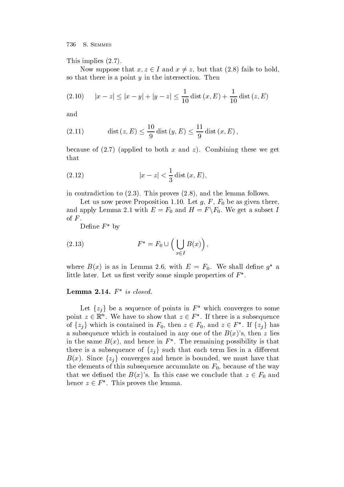This implies  $(2.7)$ .

Now suppose that  $x, z \in I$  and  $x \neq z$ , but that  $(2.8)$  fails to hold, so that there is a point  $y$  in the intersection. Then

$$
(2.10) \qquad |x - z| \le |x - y| + |y - z| \le \frac{1}{10} \operatorname{dist}\left(x, E\right) + \frac{1}{10} \operatorname{dist}\left(z, E\right)
$$

and

(2.11) 
$$
\text{dist}(z, E) \le \frac{10}{9} \text{dist}(y, E) \le \frac{11}{9} \text{dist}(x, E)
$$

because of the combined to both x and zero and zero and zero and zero and zero and zero and zero and zero and that

(2.12) 
$$
|x - z| < \frac{1}{3} \text{dist}(x, E),
$$

in contradiction to the lemma follows  $\mathbf{I}$  and the lemma follows  $\mathbf{I}$  and the lemma follows  $\mathbf{I}$ 

Let us now prove Proposition proves the set  $g$  for  $g$   $\in$   $0$  . As set  $G$  from the as  $g$ and apply Lemma 2.1 with  $E = F_0$  and  $H = F \backslash F_0$ . We get a subset I % of  $F$ .<br>Define  $F^*$  by

(2.13) 
$$
F^* = F_0 \cup \left( \bigcup_{x \in I} B(x) \right),
$$

where  $D(x)$  is as in Lemma 2.0, with  $E = F_0$ . We shall define g a little later. Let us first verify some simple properties of  $F^*$ .

### $L$ emma  $\boldsymbol{\Sigma}.$ 14.  $\boldsymbol{\Gamma}$  is closed.

Let  $\{z_i\}$  be a sequence of points in  $F^*$  which converges to some point  $z \in \mathbb{R}^n$ . We have to show that  $z \in F^*$ . If there is a subsequence of  $\{z_j\}$  which is contained in  $F_0$ , then  $z \in F_0$ , and  $z \in F^*$ . If  $\{z_j\}$  has a subsequence which is contained in any one of the Bx states of the Bx states of the Bx states of the Bx states in the same  $B(x)$ , and hence in F . The remaining possibility is that there is a subsequence of  $\{z_i\}$  such that each term lies in a different  $B(x)$ . Since  $\{z_j\}$  converges and hence is bounded, we must have that the elements of this subsequence accumulate on  $\mathbf{W}$  is subsequence accumulate on  $\mathbf{W}$  is a subsequence of the way of the way of the way of the way of the way of the way of the way of the way of the way of the way that we defined the  $B(x)$ 's. In this case we conclude that  $z \in F_0$  and hence  $z \in F^*$ . This proves the lemma.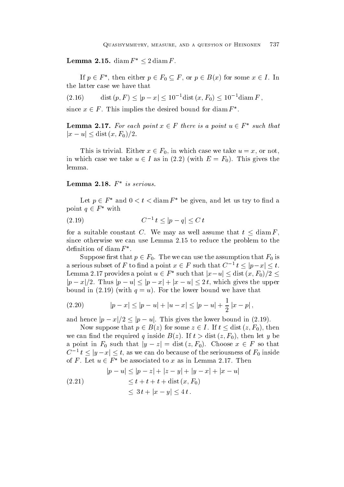**Lemma 2.15.** diam  $F^* \leq 2$  diam F.

If  $p \in F^*$ , then either  $p \in F_0 \subseteq F$ , or  $p \in B(x)$  for some  $x \in I$ . In the latter case we have that

 $(2.16)$  $\mathop\mathrm{dist}\,(p,F) \leq |p-x| \leq 10^{-1} \mathop\mathrm{dist}\,(x,F_0) \leq 10^{-1} \mathop\mathrm{diam}\, F \,,$ 

since  $x \in F$ . This implies the desired bound for diam  $F^*$ .

**Lemma 2.17.** For each point  $x \in F$  there is a point  $u \in F^*$  such that  $|x - u| \leq$  dist  $(x, F_0)/2$ .

This is trivial. Either  $x \in F_0$ , in which case we take  $u = x$ , or not, in which case we take  $u \in I$  as in (2.2) (with  $E = F_0$ ). This gives the lemma

 $E$   $\mathbf{L}$  emina  $\mathbf{Z}$ . 10.  $\mathbf{r}$  is serious.

Let  $p \in F^*$  and  $0 < t < \text{diam } F^*$  be given, and let us try to find a point  $q \in F^*$  with

(2.19) 
$$
C^{-1} t \le |p - q| \le C t
$$

for a suitable constant C. We may as well assume that  $t \leq \text{diam } F$ , since otherwise we can use Lemma 2.15 to reduce the problem to the definition of diam  $F^*$ .

Suppose first that  $p \in F_0$ . The we can use the assumption that  $F_0$  is a serious subset of F to find a point  $x \in F$  such that  $C^{-1}$   $t \le |p-x| \le t$ . Lemma 2.17 provides a point  $u \in F^*$  such that  $|x-u| \leq \mathop\mathrm{dist}{(x,F_0)}/2 \leq \mathbb{Z}$  $|p - x|/2$ . Thus  $|p - u| \leq |p - x| + |x - u| \leq 2t$ , which gives the upper  $\mathbf{f}$  is the lower bound we have the lower bound we have the lower bound we have the lower bound we have that  $\mathbf{f}$ 

$$
(2.20) \t |p-x| \le |p-u| + |u-x| \le |p-u| + \frac{1}{2}|x-p|,
$$

and hence  $|p - x|/2 \leq |p - u|$ . This gives the lower bound in (2.19).

Now suppose that  $p \in B(z)$  for some  $z \in I$ . If  $t \leq \text{dist}(z, F_0)$ , then we can not the required  $\mathbf{u}$  and  $\mathbf{u}$  and  $\mathbf{u}$  and  $\mathbf{u}$  and  $\mathbf{u}$ a point in  $F_0$  such that  $|y - z| = \text{dist}(z, F_0)$ . Choose  $x \in F$  so that  $C^{-1}$   $t \le |y-x| \le t$ , as we can do because of the seriousness of  $F_0$  inside of F. Let  $u \in F^*$  be associated to x as in Lemma 2.17. Then

$$
|p - u| \le |p - z| + |z - y| + |y - x| + |x - u|
$$
  
\n
$$
\le t + t + t + \text{dist}(x, F_0)
$$
  
\n
$$
\le 3t + |x - y| \le 4t.
$$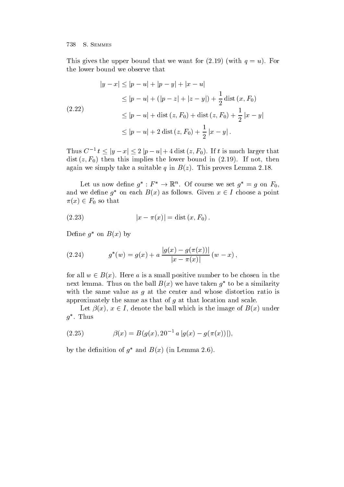This gives the upper bound that we want for the upper bound that we want for the upper bound terms of  $\mathcal{U}$ the lower bound we observe that

$$
|y - x| \le |p - u| + |p - y| + |x - u|
$$
  
\n
$$
\le |p - u| + (|p - z| + |z - y|) + \frac{1}{2} \operatorname{dist}(x, F_0)
$$
  
\n(2.22)  
\n
$$
\le |p - u| + \operatorname{dist}(z, F_0) + \operatorname{dist}(z, F_0) + \frac{1}{2} |x - y|
$$
  
\n
$$
\le |p - u| + 2 \operatorname{dist}(z, F_0) + \frac{1}{2} |x - y|.
$$

Thus  $C^{-1} t \leq |y - x| \leq 2 |p - u| + 4 \text{ dist}(z, F_0)$ . If t is much larger that  $\mathbf{v}$  f-will bound in the lower bound in this implies the lower bound in the lower bound in the lower bound in the lower bound in the lower bound in the lower bound in the lower bound in the lower bound in the lower bo again we simply take a suitable quality take a suitable quality of the suitable quality of the suitable quality

Let us now define  $g^*: F^* \to \mathbb{R}^n$ . Of course we set  $g^* = g$  on  $F_0$ , and we define  $q^*$  on each  $B(x)$  as follows. Given  $x \in I$  choose a point  $\pi(x) \in F_0$  so that

(2.23) 
$$
|x - \pi(x)| = \text{dist}(x, F_0).
$$

Denne q on  $D(x)$  by

(2.24) 
$$
g^*(w) = g(x) + a \frac{|g(x) - g(\pi(x))|}{|x - \pi(x)|} (w - x),
$$

for all  $w \in B(x)$ . Here a is a small positive number to be chosen in the  $\max$  remina. Thus on the ball  $D(x)$  we have taken  $q$  -to be a similarity with the same value as  $g$  at the center and whose distortion ratio is approximately the same as that of  $g$  at that location and scale.

Let  $\beta(x)$ ,  $x \in I$ , denote the ball which is the image of  $B(x)$  under  $q$  . Inus

(2.25) 
$$
\beta(x) = B(g(x), 20^{-1} a |g(x) - g(\pi(x))|),
$$

by the definition of g and  $D(x)$  (in Lemma 2.0).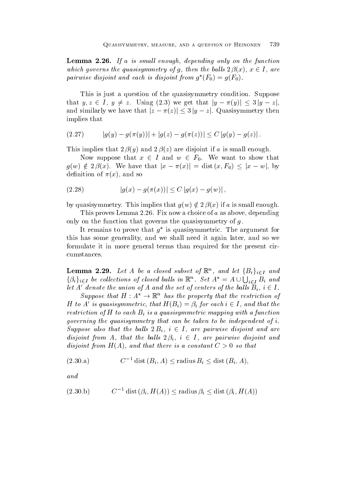Lemma -- If a is smal l enough- depending only on the function which governs the quasisymmetry of g, then the balls  $2\beta(x)$ ,  $x \in I$ , are pairwise aisjoint and each is disjoint from  $g_{\perp}(r_0) = g(r_0)$ .

This is just a question of the quasisymmetry condition. Suppose that  $y, z \in I$ ,  $y \neq z$ . Using (2.3) we get that  $|y - \pi(y)| \leq 3 |y - z|$ , and similarly we have that  $|z - \pi(z)| \leq 3 |y - z|$ . Quasisymmetry then implies that

(2.27) 
$$
|g(y) - g(\pi(y))| + |g(z) - g(\pi(z))| \leq C |g(y) - g(z)|.
$$

 $\mathbf{y}$  in the input if a issmall enough that is matter in the interval enough the interval enough the interval enough the interval enough the interval enough the interval enough the interval enough the interval enough t

Now suppose that  $x \in I$  and  $w \in F_0$ . We want to show that  $g(w) \notin 2\beta(x)$ . We have that  $|x - \pi(x)| = \text{dist}(x, F_0) \leq |x - w|$ , by  $\mathbf{A}$  and so and so and so and so and so and so and so and so and so and so and so and so and so and so and so and so and so and so and so and so and so and so and so and so and so and so and so and so and so and so an

(2.28) 
$$
|g(x) - g(\pi(x))| \le C |g(x) - g(w)|,
$$

by quasisymmetry. This implies that  $g(w) \notin 2\beta(x)$  if a is small enough.

This proves Lemma 2.26. Fix now a choice of a as above, depending only on the function that governs the quasisymmetry of  $q$ .

It remains to prove that  $q$  is quasisymmetric. The argument for  $\hspace{0.1mm}$ this has some generality, and we shall need it again later, and so we formulate it in more general terms than required for the present cir cumstances

**Lemma 2.29.** Let A be a closed subset of  $\mathbb{R}^n$ , and let  $\{B_i\}_{i\in I}$  and  $\{\beta_i\}_{i\in I}$  be collections of closed balls in  $\mathbb{R}^n$ . Set  $A^* = A \cup \bigcup_{i\in I} B_i$  and let A' denote the union of A and the set of centers of the balls  $B_i, i \in I$ .

Suppose that  $H : A^* \to \mathbb{R}^n$  has the property that the restriction of H to A' is quasisymmetric, that  $H(B_i) = \beta_i$  for each  $i \in I$ , and that the restriction of H to each  $B_i$  is a quasisymmetric mapping with a function governing the quasisymmetry that can be taken to be independent of  $i$ . Suppose also that the balls  $2B_i$ ,  $i \in I$ , are pairwise disjoint and are disjoint from A, that the balls  $2\beta_i$ ,  $i \in I$ , are pairwise disjoint and and there is a constant constant constant constant constant  $\mathbf{c}$  , we are constant

$$
(2.30.a) \tC-1 dist (Bi, A) \leq radius Bi \leq dist (Bi, A),
$$

and

$$
(2.30.b) \tC-1 dist  $(\beta_i, H(A)) \leq \text{radius } \beta_i \leq \text{dist }(\beta_i, H(A))$
$$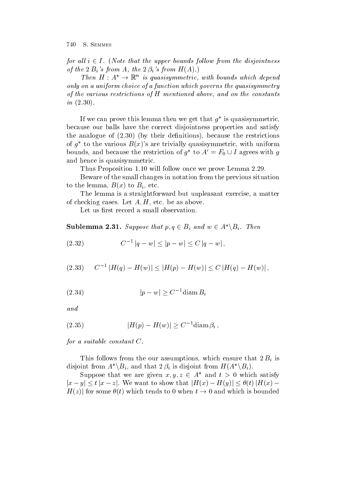for all  $i \in I$ . (Note that the upper bounds follow from the disjointness of the Bis from A- the is from HA

Then  $H : A^* \to \mathbb{K}^n$  is quasisymmetric, with bounds which depend only on a uniform choice of a function which governs the quasisymmetry of the various restrictions of H mentioned above- and on the constants in 

If we can prove this lemma then we get that  $q$  is quasisymmetric,  $\qquad \qquad$ because our balls have the correct disjointness properties and satisfy the analogue of  $\mathbf{b}$  and  $\mathbf{b}$  and  $\mathbf{b}$  and  $\mathbf{b}$  and  $\mathbf{b}$  and  $\mathbf{b}$  and  $\mathbf{b}$  and  $\mathbf{b}$  and  $\mathbf{b}$  and  $\mathbf{b}$  and  $\mathbf{b}$  and  $\mathbf{b}$  and  $\mathbf{b}$  and  $\mathbf{b}$  and  $\mathbf{b}$  and  $\mathbf{b}$  a of  $q$  to the various  $D(x)$  s are trivially quasisymmetric, with uniform bounds, and because the restriction of  $g^*$  to  $A' = F_0 \cup I$  agrees with g and hence is quasisymmetric

Thus Proposition 1.10 will follow once we prove Lemma 2.29.

Beware of the small changes in notation from the previous situation to be a strong form  $\mathbf{t}$  ,  $\mathbf{t}$  ,  $\mathbf{t}$  ,  $\mathbf{t}$  ,  $\mathbf{t}$ 

The lemma is a straightforward but unpleasant exercise, a matter of checking cases. Let  $A, H$ , etc. be as above.

Let us first record a small observation.

**Sublemma 2.31.** Suppose that  $p, q \in B_i$  and  $w \in A^* \backslash B_i$ . Then

$$
(2.32) \t C-1 |q - w| \leq |p - w| \leq C |q - w|,
$$

$$
(2.33) \t C-1 |H(q) - H(w)| \le |H(p) - H(w)| \le C |H(q) - H(w)|,
$$

$$
(2.34) \t\t\t |p - w| \ge C^{-1} \text{diam}\, B_i
$$

and

$$
(2.35) \t\t\t |H(p) - H(w)| \ge C^{-1} \text{diam}\,\beta_i\,,
$$

for a suitable constant  $C$ .

This follows from the our assumptions, which ensure that  $2B_i$  is disjoint from  $A^*\backslash B_i$ , and that  $2\beta_i$  is disjoint from  $H(A^*\backslash B_i)$ .

Suppose that we are given  $x, y, z \in A^*$  and  $t > 0$  which satisfy  $|x-y| \le t |x-z|$ . We want to show that  $|H(x) - H(y)| \le \theta(t) |H(x) H(z)$  for some  $\theta(t)$  which tends to 0 when  $t \to 0$  and which is bounded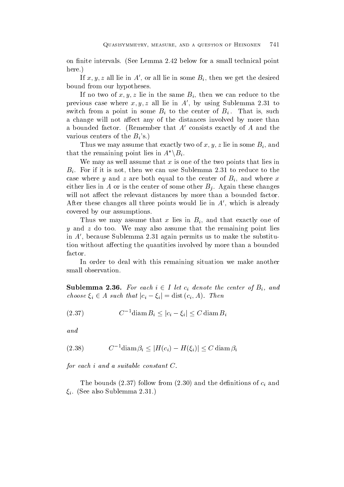on finite intervals. (See Lemma 2.42 below for a small technical point here.)

If  $x, y, z$  all lie in A', or all lie in some  $B_i$ , then we get the desired bound from our hypotheses

If no two of x, y, z lie in the same  $B_i$ , then we can reduce to the previous case where  $x, y, z$  all lie in  $A'$ , by using Sublemma 2.31 to switch from a point in some  $B_i$  to the center of  $B_i$ . That is, such a change will not affect any of the distances involved by more than a bounded factor. (Remember that  $A'$  consists exactly of  $A$  and the various centers of the  $B_i$ 's.)

Thus we may assume that exactly two of  $x, y, z$  lie in some  $B_i$ , and that the remaining point lies in  $A^*\backslash B_i$ .

We may as well assume that x is one of the two points that lies in  $B_i$ . For if it is not, then we can use Sublemma 2.31 to reduce to the case where y and z are both equal to the center of  $B_i$ , and where x either lies in A or is the center of some other  $B_i$ . Again these changes will not affect the relevant distances by more than a bounded factor. After these changes all three points would lie in  $A'$ , which is already covered by our assumptions

Thus we may assume that x lies in  $B_i$ , and that exactly one of y and  $z$  do too. We may also assume that the remaining point lies in  $A'$ , because Sublemma 2.31 again permits us to make the substitution without affecting the quantities involved by more than a bounded factor

In order to deal with this remaining situation we make another small observation

**Sublemma 2.36.** For each  $i \in I$  let  $c_i$  denote the center of  $B_i$ , and choose  $\xi_i \in A$  such that  $|c_i - \xi_i| = \text{dist}(c_i, A)$ . Then

 <sup>C</sup>diam Bi jci i j <sup>C</sup> diam Bi

and

$$
(2.38) \t C-1 \t \text{diam}\n \beta_i \leq |H(c_i) - H(\xi_i)| \leq C \t \text{diam}\n \beta_i
$$

for each  $i$  and a suitable constant  $C$ .

The bounds follow from and the denitions of ci and  $\xi_i$ . (See also Sublemma 2.31.)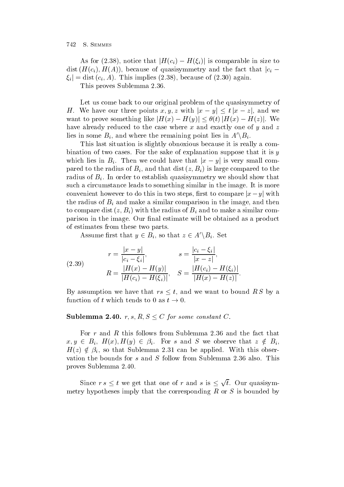As for (2.38), notice that  $|H(c_i) - H(\xi_i)|$  is comparable in size to dist  $(H(c_i), H(A))$ , because of quasisymmetry and the fact that  $|c_i |\xi_i| = \text{dist}(c_i, A)$ . This implies (2.38), because of (2.30) again.

This proves Sublemma

Let us come back to our original problem of the quasisymmetry of H. We have our three points x, y, z with  $|x-y| \leq t |x-z|$ , and we want to prove something like  $|H(x) - H(y)| \leq \theta(t) |H(x) - H(z)|$ . We have already reduced to the case where x and exactly one of y and  $z$ lies in some  $B_i$ , and where the remaining point lies in  $A' \backslash B_i$ .

This last situation is slightly obnoxious because it is really a com bination of two cases. For the sake of explanation suppose that it is  $y$ which lies in  $B_i$ . Then we could have that  $|x - y|$  is very small compared to the radius of Bi and the radius of Bi and that distribution  $\mathbf{r}$  and the that distribution  $\mathbf{r}$ radius of  $B_i$ . In order to establish quasisymmetry we should show that such a circumstance leads to something similar in the image. It is more convenient however to do this in two steps, first to compare  $|x-y|$  with the radius of  $B_i$  and make a similar comparison in the image, and then to compute distribution  $\mathbf{v}$  by and to make a similar computation  $\mathbf{v}$ parison in the image. Our final estimate will be obtained as a product of estimates from these two parts

Assume first that  $y \in B_i$ , so that  $z \in A' \backslash B_i$ . Set

(2.39) 
$$
r = \frac{|x - y|}{|c_i - \xi_i|}, \qquad s = \frac{|c_i - \xi_i|}{|x - z|},
$$

$$
R = \frac{|H(x) - H(y)|}{|H(c_i) - H(\xi_i)|}, \quad S = \frac{|H(c_i) - H(\xi_i)|}{|H(x) - H(z)|}.
$$

By assumption we have that  $rs \leq t$ , and we want to bound RS by a function of t which tends to 0 as  $t \to 0$ 

#### Sublemma 2.40.  $r, s, R, S \leq C$  for some constant C.

For r and R this follows from Sublemma 2.36 and the fact that  $x, y \in B_i$ ,  $H(x), H(y) \in \beta_i$ . For s and S we observe that  $z \notin B_i$ ,  $H(z) \notin \beta_i$ , so that Sublemma 2.31 can be applied. With this observation the bounds for s and S follow from Sublemma 2.36 also. This proves Sublemma 

Since  $rs \leq t$  we get that one of r and s is  $\leq \sqrt{t}$ . Our quasisymmetry hypotheses imply that the corresponding  $R$  or  $S$  is bounded by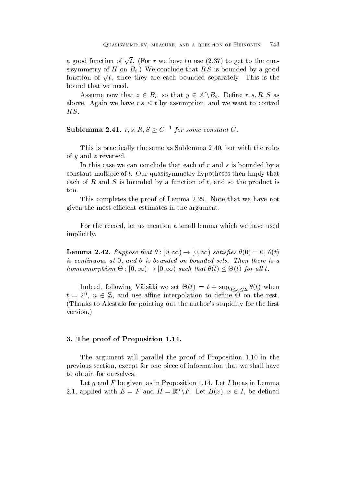a good function of  $\sqrt{t}$ . (For r we have to use (2.37) to get to the quasistem of H on Big of H on Big is bounded by a good by a good by a good by a good by a good by a good by a good function of  $\sqrt{t}$ , since they are each bounded separately. This is the bound that we need

Assume now that  $z \in B_i$ , so that  $y \in A' \backslash B_i$ . Define r, s, R, S as above. Again we have  $rs \leq t$  by assumption, and we want to control  $R.S.$ 

Sublemma 2.41.  $r, s, R, S \geq C^{-1}$  for some constant  $C$ .

This is practically the same as Sublemma 2.40, but with the roles of  $y$  and  $z$  reversed.

In this case we can conclude that each of  $r$  and  $s$  is bounded by a constant multiple of  $t$ . Our quasisymmetry hypotheses then imply that each of  $R$  and  $S$  is bounded by a function of  $t$ , and so the product is too

This completes the proof of Lemma 2.29. Note that we have not given the most e-cient estimates in the argument

For the record, let us mention a small lemma which we have used implicitly

**Lemma 2.42.** Suppose that  $\theta : [0, \infty) \to [0, \infty)$  satisfies  $\theta(0) = 0, \theta(t)$ is continuous at an order to be and the sets Theorem sets Then the issue is a set of the sets Theorem and the homeomorphism  $\Theta : [0, \infty) \to [0, \infty)$  such that  $\theta(t) \leq \Theta(t)$  for all t.

Indeed for  $\mathcal{L} = \{ \mathcal{L} \}$  we set the set of the set of the set of the set of the set of the set of the set of the set of the set of the set of the set of the set of the set of the set of the set of the set of the set  $t = 2^n$ ,  $n \in \mathbb{Z}$ , and use affine interpolation to define  $\Theta$  on the rest. (Thanks to Alestalo for pointing out the author's stupidity for the first version

#### - The proof of Proposition - The proof of Proposition - The proof of Proposition - The proof of Proposition -

The argument will parallel the proof of Proposition 1.10 in the previous section, except for one piece of information that we shall have to obtain for ourselves

Let g and  $F$  be given, as in Proposition 1.14. Let  $I$  be as in Lemma 2.1, applied with  $E = F$  and  $H = \mathbb{R}^n \backslash F$ . Let  $B(x)$ ,  $x \in I$ , be defined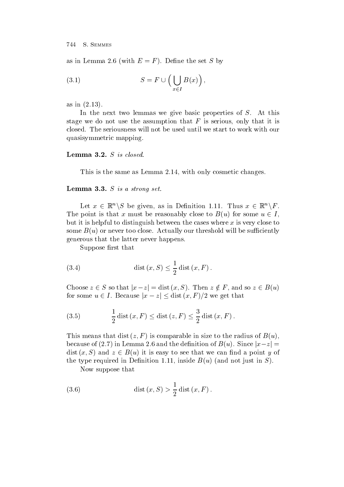as in Lemma , we have the set  $\mathcal{L}_{\mathcal{A}}$  by the set  $\mathcal{L}_{\mathcal{A}}$  by the set  $\mathcal{L}_{\mathcal{A}}$  by the set  $\mathcal{L}_{\mathcal{A}}$ 

(3.1) 
$$
S = F \cup \left( \bigcup_{x \in I} B(x) \right),
$$

 $\overline{\phantom{a}}$  in the interval  $\overline{\phantom{a}}$  in the interval  $\overline{\phantom{a}}$ 

In the next two lemmas we give basic properties of  $S$ . At this stage we do not use the assumption that  $F$  is serious, only that it is closed. The seriousness will not be used until we start to work with our quasisymmetric mapping

This is the same as Lemma 2.14, with only cosmetic changes.

#### Lemma -- S is a strong set

Let  $x \in \mathbb{R}^n \backslash S$  be given, as in Definition 1.11. Thus  $x \in \mathbb{R}^n \backslash F$ . The point is that x must be reasonably close to  $B(u)$  for some  $u \in I$ . but it is helpful to distinguish between the cases where  $x$  is very close to some Bullet and the surface Actually of the surface Actually our threshold will be surface Actually our threshold will be surface Actually our threshold will be surface Actually our threshold will be surface Actually our t generous that the latter never happens

Suppose first that

(3.4) dist 
$$
(x, S) \le \frac{1}{2}
$$
 dist  $(x, F)$ .

Choose  $z \in S$  so that  $|x-z| = \text{dist}(x, S)$ . Then  $z \notin F$ , and so  $z \in B(u)$ for some  $u \in I$ . Because  $|x - z| \leq \text{dist}(x, F)/2$  we get that

(3.5) 
$$
\frac{1}{2} \text{dist}(x, F) \le \text{dist}(z, F) \le \frac{3}{2} \text{dist}(x, F).
$$

This means that distribution  $\mathbf{r}$  is comparable in size to the radius of Bulletin size to the radius of Bulletin size to the radius of Bulletin size to the radius of Bulletin size to the radius of Bulletin size to the because of (2.7) in Lemma 2.6 and the definition of  $B(u)$ . Since  $|x-z| =$ dist  $(x, S)$  and  $z \in B(u)$  it is easy to see that we can find a point y of the type required in Denition  inside Bu and not just in S

Now suppose that

(3.6) dist 
$$
(x, S) > \frac{1}{2}
$$
 dist  $(x, F)$ .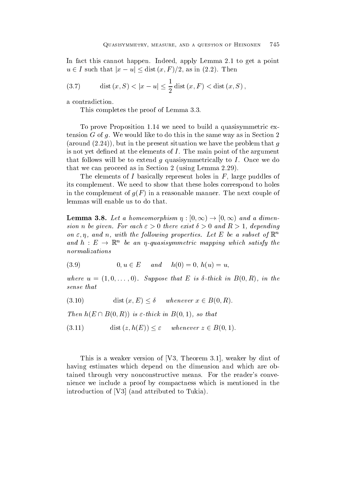In fact this cannot happen. Indeed, apply Lemma  $2.1$  to get a point  $u \in I$  such that  $|x - u| \leq \text{dist}(x, F)/2$ , as in  $(2.2)$ . Then

(3.7) dist 
$$
(x, S) < |x - u| \le \frac{1}{2}
$$
 dist  $(x, F) <$  dist  $(x, S)$ ,

a contradiction

This completes the proof of Lemma 3.3.

To prove Proposition 1.14 we need to build a quasisymmetric extension G of g. We would like to do this in the same way as in Section 2  $\mathbf b$  in the present situation we have the present situation we have the problem that gives  $\mathbf b$ is not yet defined at the elements of  $I$ . The main point of the argument that follows will be to extend g quasisymmetrically to  $I$ . Once we do that we can proceed as in Section 2 (using Lemma  $2.29$ ).

The elements of I basically represent holes in  $F$ , large puddles of its complement. We need to show that these holes correspond to holes in the complete manner of  $g_{\Gamma}$  , and in a recovered the next couple of the next couple of  $\Gamma$ lemmas will enable us to do that

**Lemma 3.8.** Let a homeomorphism  $\eta : [0, \infty) \to [0, \infty)$  and a dimension n be given For each discussion of the exist of the exist  $\mathcal{A}$  and R  $\mathcal{A}$  and R  $\mathcal{A}$  and R  $\mathcal{A}$ on  $\varepsilon$ ,  $\eta$ , and  $n$ , with the following properties. Let  $E$  be a subset of  $\mathbb R$ and  $h$  :  $E \rightarrow \mathbb{K}^n$  be an  $\eta$ -quasisymmetric mapping which satisfy the normalizations

 $(3.9)$  $0, u \in E$  and  $h(0) = 0, h(u) = u$ ,

where  $\mathcal{S}$  is a suppose that E is  $\mathcal{S}$  is a suppose that E is  $\mathcal{S}$  is a suppose that E is  $\mathcal{S}$ sense that

(3.10) 
$$
\text{dist}(x, E) \leq \delta \quad \text{ whenever } x \in B(0, R).
$$

Then  $h(E \cap B(0,R))$  is  $\varepsilon$ -thick in  $B(0,1)$ , so that

(3.11) 
$$
\text{dist}(z, h(E)) \leq \varepsilon \quad \text{whenever } z \in B(0, 1).
$$

This is a weaker version of [V3, Theorem 3.1], weaker by dint of having estimates which depend on the dimension and which are ob tained through very nonconstructive means. For the reader's convenience we include a proof by compactness which is mentioned in the introduction of V and attributed to Tukia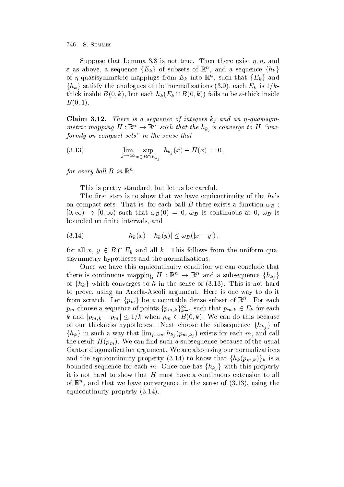Suppose that Lemma is not true Then there exist - n and  $\varepsilon$  as above, a sequence  $\{E_k\}$  of subsets of  $\mathbb{R}^n$ , and a sequence  $\{h_k\}$ of  $\eta$ -quasisymmetric mappings from  $E_k$  into  $\mathbb{R}^n$ , such that  $\{E_k\}$  and  $\{h_k\}$  satisfy the analogues of the normalizations (3.9), each  $E_k$  is  $1/k$ thick inside  $B(0, k)$ , but each  $h_k(E_k \cap B(0, k))$  fails to be  $\varepsilon$ -thick inside  $\blacksquare$ 

Claim -- There is <sup>a</sup> sequence of integers kj and an - quasisym metric mapping  $H: \mathbb{R}^n \to \mathbb{R}^n$  such that the  $h_{k_j}$  s converge to  $H$  "uniformly on compact sets" in the sense that

(3.13) 
$$
\lim_{j \to \infty} \sup_{x \in B \cap E_{k_j}} |h_{k_j}(x) - H(x)| = 0,
$$

for every ball  $D$  in  $\mathbb R$ .

This is pretty standard, but let us be careful.

The first step is to show that we have equicontinuity of the  $h_k$ 's on compact sets. That is, for each ball B there exists a function  $\omega_B$ :  $[0, \infty) \rightarrow [0, \infty)$  such that  $\omega_B(0) = 0$ ,  $\omega_B$  is continuous at 0,  $\omega_B$  is bounded on finite intervals, and

(3.14) 
$$
|h_k(x) - h_k(y)| \leq \omega_B(|x - y|),
$$

for all  $x, y \in B \cap E_k$  and all k. This follows from the uniform quasisymmetry hypotheses and the normalizations.

Once we have this equicontinuity condition we can conclude that there is continuous mapping  $H : \mathbb{R}^n \to \mathbb{R}^n$  and a subsequence  $\{h_{k_i}\}\$ of  $\{h_k\}$  which converges to h in the sense of  $(3.13)$ . This is not hard to prove, using an Arzela-Ascoli argument. Here is one way to do it from scratch. Let  $\{p_m\}$  be a countable dense subset of  $\mathbb{R}^n$ . For each  $p_m$  choose a sequence of points  $\{p_{m,k}\}_{k=1}^\infty$  such that  $p_{m,k}\in E_k$  for each k and  $|p_{m,k} - p_m| \leq 1/k$  when  $p_m \in B(0,k)$ . We can do this because of our thickness hypotheses. Next choose the subsequence  $\{h_{k_i}\}\$  of  ${h_k}$  in such a way that  $\lim_{j\to\infty} h_{k_j}(p_{m,k_j})$  exists for each m, and call the result here  $\mu_{\ell}$  , the result had not the usual contract of the usual contract of the usual contracts. Cantor diagonalization argument. We are also using our normalizations and the equicontinuity property (3.14) to know that  $\{h_k(p_{m,k})\}_k$  is a bounded sequence for each m. Once one has  $\{h_{k_i}\}\$  with this property it is not hard to show that  $H$  must have a continuous extension to all of  $\mathbb R$  , and that we have convergence in the sense of (5.15), using the  $\blacksquare$ equipped and the continuity property property property property and the continuity property of the continuity of the continuity of the continuity of the continuity of the continuity of the continuity of the continuity of t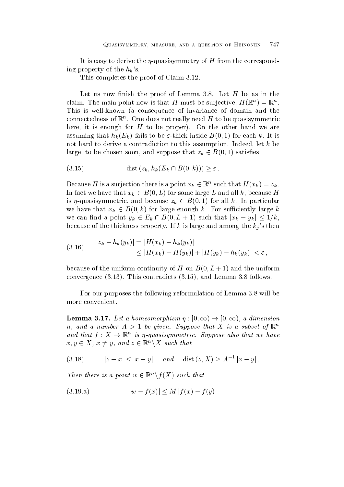It is easy to derive the -derive the corresponding to derive the corresponding  $\mathbf{F}$  from the corresponding to derive the corresponding to  $\mathbf{F}$ ing property of the  $h_k$ 's.

This completes the proof of Claim 3.12.

Let us now finish the proof of Lemma 3.8. Let  $H$  be as in the claim. The main point now is that  $H$  must be surjective,  $H(\mathbb{R}^+)=\mathbb{R}^+$ . This is well-known (a consequence of invariance of domain and the connectedness of  $\mathbb R$  . One does not really need  $H$  to be quasisymmetric here it is enough for H to be proper On the other hand we are assuming the total to be the total institution of the state inside Boston institution of the state  $\mathbf{f}$ not hard to derive a contradiction to this assumption. Indeed, let  $k$  be large, to be chosen soon, and suppose that  $z_k \in B(0,1)$  satisfies

$$
(3.15) \qquad \qquad \text{dist}\left(z_k, h_k(E_k \cap B(0,k))\right) \geq \varepsilon \, .
$$

Because H is a surjection there is a point  $x_k \in \mathbb{R}^n$  such that  $H(x_k) = z_k$ . In fact we have that  $x_k \in B(0,L)$  for some large L and all k, because H is  $\eta$ -quasisymmetric, and because  $z_k \in B(0,1)$  for all k. In particular we have that  $x_k \in B(0,k)$  for large enough k. For sufficiently large k we can find a point  $y_k \in E_k \cap B(0, L+1)$  such that  $|x_k - y_k| \leq 1/k$ , because of the thickness property. If k is large and among the  $k_j$ 's then

(3.16) 
$$
|z_k - h_k(y_k)| = |H(x_k) - h_k(y_k)|
$$
  
\n
$$
\leq |H(x_k) - H(y_k)| + |H(y_k) - h_k(y_k)| < \varepsilon,
$$

 $\alpha$  is the uniform continuity of H on B  $\alpha$  ,  $\alpha$  ,  $\alpha$  ,  $\alpha$  ,  $\alpha$  ,  $\alpha$  ,  $\alpha$  ,  $\alpha$  ,  $\alpha$  ,  $\alpha$  ,  $\alpha$  ,  $\alpha$  ,  $\alpha$  ,  $\alpha$  ,  $\alpha$  ,  $\alpha$  ,  $\alpha$  ,  $\alpha$  ,  $\alpha$  ,  $\alpha$  ,  $\alpha$  ,  $\alpha$  ,  $\alpha$  ,  $\alpha$  ,  $\alpha$  ,  $\alpha$   $\mathcal{L}$  . This contradicts is the contradicts of  $\mathcal{L}$  . This contradicts is the contradict of  $\mathcal{L}$ 

For our purposes the following reformulation of Lemma 3.8 will be more convenient

**Lemma 3.17.** Let a homeomorphism  $\eta : [0, \infty) \to [0, \infty)$ , a dimension n, and a number  $A > 1$  be given. Suppose that  $A$  is a subset of  $\mathbb{R}^n$ and that  $f: X \to \mathbb{R}^n$  is  $\eta$ -quasisymmetric. Suppose also that we have  $x, y \in X$ ,  $x \neq y$ , and  $z \in \mathbb{R}^n \backslash X$  such that

 $(3.18)$  $|z-x|\leq |x-y|$  and dist  $(z,X)\geq A^{-1}|x-y|$ .

Then there is a point  $w \in \mathbb{R}^n \backslash f(X)$  such that

$$
(3.19.a) \t |w - f(x)| \le M |f(x) - f(y)|
$$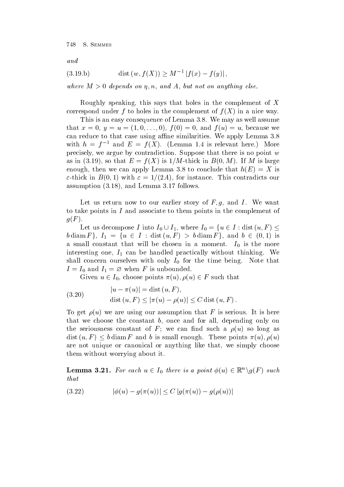and

(3.19.b) 
$$
\text{dist}(w, f(X)) \geq M^{-1} |f(x) - f(y)|,
$$

where M and A-control on any the M and A-control on any the M and A-control on any the M and A-control on any

Roughly speaking, this says that holes in the complement of  $X$ correspond under f to holes in the complex in the complex in the complex in the complex in a nice way of f  $\alpha$ This is an easy consequence of Lemma 3.8. We may as well assume that is a contract of the contract of the contract of the contract of the contract of the contract of the contract of the contract of the contract of the contract of the contract of the contract of the contract of the cont can reduce to that case using a-ne similarities We apply Lemma with  $n = f^{-}$  and  $E = f(A)$ . (Lemma 1.4 is relevant here.) informed precisely, we argue by contradiction. Suppose that there is no point  $w$  $\mathcal{N} = \mathcal{N}$  is a so that  $\mathcal{N} = \mathcal{N}$  is a so that  $\mathcal{N} = \mathcal{N}$  is a so that  $\mathcal{N} = \mathcal{N}$ enough the concluded that he conclude that he conclude that he concluded that hE  $\mu$  $\mathbf{f}$  in Britannia in Britannia in Britannia in Britannia in Britannia in Britannia in Britannia in Britannia in Britannia in Britannia in Britannia in Britannia in Britannia in Britannia in Britannia in Britannia in B assumption to the contract of the contract of the contract of the contract of the contract of the contract of the contract of the contract of the contract of the contract of the contract of the contract of the contract of

Let us return now to our earlier story of  $F, g$ , and I. We want to take points in I and associate to them points in the complement of  $\mathbf{y} = \mathbf{y}$ 

Let us decompose I into  $I_0 \cup I_1$ , where  $I_0 = \{u \in I : \text{dist}(u, F) \leq$  $b \text{ diam } F$ ,  $I_1 = \{u \in I : \text{dist}(u, F) > b \text{diam } F\}$ , and  $b \in (0,1)$  is a small constant that will be chosen in a moment  $\sim$ interesting one I can be handled practically without thinking  $\mathbf{u}$  $\mathcal{A}$  and  $\mathcal{A}$  and  $\mathcal{A}$  and the time being  $\mathcal{A}$  $\mathbf{v}$  is unbounded from F is unbounded from F is unbounded from F is unbounded from F is unbounded from F is unbounded from F is unbounded from F is unbounded from F is unbounded from F is unbounded from F is unbounded

Given  $u \in I_0$ , choose points  $\pi(u)$ ,  $\rho(u) \in F$  such that

(3.20) 
$$
|u - \pi(u)| = \text{dist } (u, F),
$$
  
 
$$
\text{dist } (u, F) \le |\pi(u) - \rho(u)| \le C \text{dist } (u, F).
$$

 $\blacksquare$  . We are using our assumption that  $\blacksquare$  is the serious It is the  $\blacksquare$ that we choose the constant  $b$ , once and for all, depending only on the seriousness constant of F we can now constant of  $\mathbb{R}^n$  we can now can now constant a use  $\mathbb{R}^n$ dist  $(u, F) \leq b$  diam F and b is small enough. These points  $\pi(u), \rho(u)$ are not unique or canonical or anything like that, we simply choose them without worrying about it

**Lemma 3.21.** For each  $u \in I_0$  there is a point  $\phi(u) \in \mathbb{R}^n \backslash g(F)$  such that

(3.22) 
$$
|\phi(u) - g(\pi(u))| \le C |g(\pi(u)) - g(\rho(u))|
$$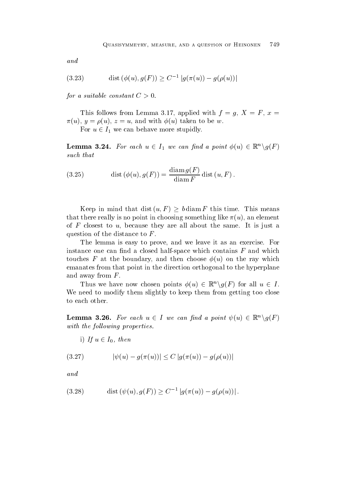and

(3.23) dist 
$$
(\phi(u), g(F)) \ge C^{-1} |g(\pi(u)) - g(\rho(u))|
$$

for a suitable constant  $C>0$ .

This follows from Lemma 3.17, applied with  $f = g, X = F, x =$  $\mathbf{v}$  and with understanding  $\mathbf{v}$  and  $\mathbf{v}$  and  $\mathbf{v}$ 

For  $u \in I_1$  we can behave more stupidly.

**Lemma 3.24.** For each  $u \in I_1$  we can find a point  $\phi(u) \in \mathbb{R}^n \setminus g(F)$ such that

(3.25) 
$$
\operatorname{dist}(\phi(u), g(F)) = \frac{\operatorname{diam} g(F)}{\operatorname{diam} F} \operatorname{dist}(u, F).
$$

Keep in mind that dist  $(u, F) \geq b \, \text{diam } F$  this time. This means that there really is no point in choosing something in choosing something  $\mathbf{u}$ of  $F$  closest to  $u$ , because they are all about the same. It is just a question of the distance to  $F$ .

The lemma is easy to prove, and we leave it as an exercise. For instance one can find a closed half-space which contains  $F$  and which to the first F at the boundary and the rate of the part of the rate of the second contract of the rate of the ray which is a second to be a second contract of the second contract of the second contract of the second contra emanates from that point in the direction orthogonal to the hyperplane and away from  $F$ .

Thus we have now chosen points  $\phi(u) \in \mathbb{R}^n \setminus g(F)$  for all  $u \in I$ . We need to modify them slightly to keep them from getting too close to each other

**Lemma 3.26.** For each  $u \in I$  we can find a point  $\psi(u) \in \mathbb{R}^n \backslash g(F)$ with the following properties.

1) If  $u \in I_0$ , then

(3.27) 
$$
|\psi(u) - g(\pi(u))| \le C |g(\pi(u)) - g(\rho(u))|
$$

and

(3.28) dist 
$$
(\psi(u), g(F)) \ge C^{-1} |g(\pi(u)) - g(\rho(u))|
$$
.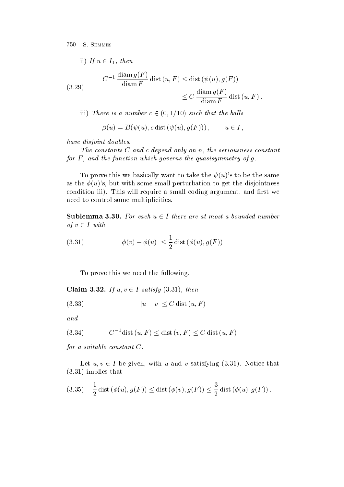11) If 
$$
u \in I_1
$$
, then  
\n
$$
C^{-1} \frac{\operatorname{diam} g(F)}{\operatorname{diam} F} \operatorname{dist} (u, F) \leq \operatorname{dist} (\psi(u), g(F))
$$
\n
$$
\leq C \frac{\operatorname{diam} g(F)}{\operatorname{diam} F} \operatorname{dist} (u, F).
$$

iii) There is a number  $c \in (0, 1/10)$  such that the balls

$$
\beta(u) = \overline{B}(\psi(u), c \text{ dist } (\psi(u), g(F))), \qquad u \in I,
$$

have disjoint doubles

The constants  $\mathbf{C}$  and constants  $\mathbf{C}$  and constants constants constants constants constants constants constants constants of  $\mathbf{C}$ for F - and the function which governs the quasisymmetry of g

To prove this we basically want to take the u s to be the same as the u s but with some small perturbation to get the disjointness condition iii This will require <sup>a</sup> small coding argument and rst we need to control some multiplicities

**Sublemma 3.30.** For each  $u \in I$  there are at most a bounded number of  $v \in I$  with

(3.31) 
$$
|\phi(v) - \phi(u)| \leq \frac{1}{2} \text{dist}(\phi(u), g(F)).
$$

To prove this we need the following

Claim 3.32. If  $u, v \in I$  satisfy (3.31), then

$$
(3.33) \t\t |u-v| \le C \operatorname{dist}\left(u, F\right)
$$

and

$$
(3.34) \tC-1dist (u, F) \leq dist (v, F) \leq C dist (u, F)
$$

for a suitable constant  $C$ .

Let  $u, v \in I$  be given, with u and v satisfying (3.31). Notice that  $i \circ i \circ j = j$  is the set of  $i = j$ 

(3.35) 
$$
\frac{1}{2}
$$
 dist  $(\phi(u), g(F)) \le$  dist  $(\phi(v), g(F)) \le \frac{3}{2}$  dist  $(\phi(u), g(F))$ .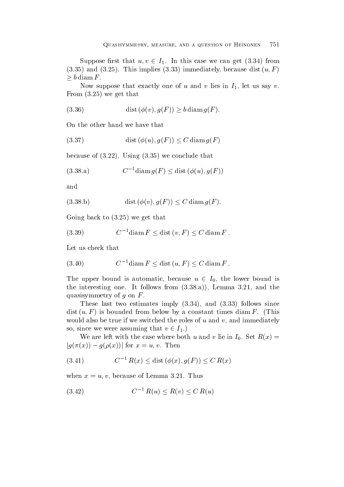Suppose first that  $u, v \in I_1$ . In this case we can get (3.34) from and the set of the set of the set of the set of the set of the set of the set of the set of the set of the set  $\geq b$  diam F.

Now suppose that exactly one of u and v lies in  $I_1$ , let us say v.  $\mathbf{F}$  from  $\mathbf{F}$  that is get that if  $\mathbf{F}$  and  $\mathbf{F}$  are get that if  $\mathbf{F}$  are get that if  $\mathbf{F}$  are get that if  $\mathbf{F}$  are get that if  $\mathbf{F}$  are get that if  $\mathbf{F}$  are get that if  $\mathbf{F}$  are ge

(3.36) 
$$
\operatorname{dist}(\phi(v), g(F)) \ge b \operatorname{diam} g(F).
$$

On the other hand we have that

$$
(3.37) \qquad \qquad \text{dist}\left(\phi(u), g(F)\right) \le C \,\text{diam}\,g(F)
$$

 $\mathbf{v} = \mathbf{v}$  is that  $\mathbf{v} = \mathbf{v}$ 

$$
(3.38.a) \tC-1 \operatorname{diam} g(F) \le \operatorname{dist} (\phi(u), g(F))
$$

and

b dist v gF C diam gF

 $\mathcal{L}$  and the get that the set of  $\mathcal{L}$ 

$$
(3.39) \tC-1 \operatorname{diam} F \le \operatorname{dist}(v, F) \le C \operatorname{diam} F.
$$

Let us check that

$$
(3.40) \tC-1 \operatorname{diam} F \le \operatorname{dist}(u, F) \le C \operatorname{diam} F.
$$

The upper bound is automatic, because  $u \in I_0$ , the lower bound is  $\mathbf{A}$  is follows from a strong from a strong from a strong from a strong from a strong from a strong from a strong from a strong from a strong from a strong from a strong from a strong from a strong from a strong from quasisymmetry of  $g$  on  $F$ .

These last two estimates imply and follows since distribution by a finite distribution by a finite distribution by a finite distribution of  $\mathbf{u}$ would also be true if we switched the roles of  $u$  and  $v$ , and immediately so, since we were assuming that  $v \in I_1$ .)

We are left with the case where  $\alpha$  is the value of  $\alpha$  is  $\alpha$  in I-  $\alpha$  ,  $\alpha$  $|g(\pi(x))-g(\rho(x))|$  for  $x=u,v$ . Then

(3.41) 
$$
C^{-1} R(x) \le \text{dist} \left( \phi(x), g(F) \right) \le C R(x)
$$

when  $x = u, v$ , because of Lemma 3.21. Thus

$$
(3.42) \tC-1 R(u) \le R(v) \le C R(u)
$$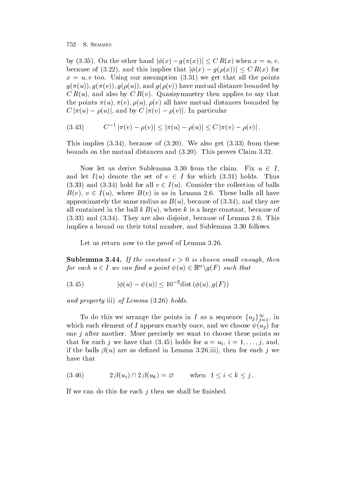by (3.35). On the other hand  $|\phi(x) - g(\pi(x))| \leq C R(x)$  when  $x = u, v$ , because of (3.22), and this implies that  $|\phi(x) - g(\rho(x))| \leq C R(x)$  for  $\mathcal{N}$  to Using our assumption  $\mathcal{N}$  . The points of  $\mathcal{N}$  all the points of  $\mathcal{N}$ and and guide by the mutual distance by the mutual distance by the contract of the contract of the contract of C Ru and also by C Rv Quasisymmetry then applies to say that  $\mathbf{u}$  is a virtual distances bounded by  $\mathbf{u}$  and  $\mathbf{u}$  $C|\pi(u) - \rho(u)|$ , and by  $C|\pi(v) - \rho(v)|$ . In particular

(3.43) 
$$
C^{-1} |\pi(v) - \rho(v)| \leq |\pi(u) - \rho(u)| \leq C |\pi(v) - \rho(v)|.
$$

The complete  $\{0,0,1\}$  is the complete of  $\{0,0,0\}$  . The complete  $\{0,0,0\}$  is the complete of  $\{0,0,0\}$ boundary on the mutual distances and  $\alpha$  and  $\beta$  and  $\beta$  is the contract contract  $\alpha$ 

Now let us derive Sublemma 3.30 from the claim. Fix  $u \in I$ . and let  $I(u)$  denote the set of  $v \in I$  for which (3.31) holds. Thus  $(3.33)$  and  $(3.34)$  hold for all  $v \in I(u)$ . Consider the collection of balls  $B(v)$ ,  $v \in I(u)$ , where  $B(v)$  is as in Lemma 2.6. These balls all have approximately the same radius as Burguers as Burguers as  $\mathcal{S}$  are  $\mathcal{S}$  and  $\mathcal{S}$  are  $\mathcal{S}$ all contained in the ball k Burger constant because of the ball  $\pi$  is a large constant because of the constant because of the constant of the constant of the constant of the constant of the constant of the constant of th and They are also disjoint because of Lemma This implies a bound on their total number, and Sublemma 3.30 follows.

Let us return now to the proof of Lemma 3.26.

substitute - the constant constant constant constant constant with the constant of the constant of the constant for each  $u \in I$  we can find a point  $\psi(u) \in \mathbb{R}^n \backslash g(F)$  such that

(3.45) 
$$
|\phi(u) - \psi(u)| \le 10^{-2} \text{dist}(\phi(u), g(F))
$$

and property in the contract of Lemma and the contract of Lemma and the Lemma and the Lemma and the Lemma and

To do this we arrange the points in I as a sequence  $\{u_j\}_{i=1}^{\infty}$ , in where each element of  $\mathcal{U}$  and we choose use up to  $\mathcal{U}$  and we choose use under the choose use under the choose use under the choose use under the choose use under the choose use under the choose use under the cho one  $j$  after another. More precisely we want to choose these points so that for the second interest control (we have for use  $\alpha$  in the unit of  $\mu$  ) we have the second if the balls u are as dened in Lemma iii then for each j we have that

$$
(3.46) \t2 \beta(u_i) \cap 2 \beta(u_k) = \varnothing \t when 1 \le i < k \le j.
$$

If we can do this for each  $j$  then we shall be finished.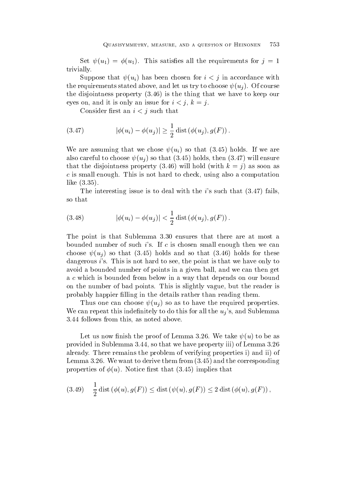Set u u This satises all the requirements for j  trivially

Suppose that understand in a suppose that understands  $\bm{y}$  is a suppose that  $\bm{y}$ the requirements stated above and let us try to choose us to choose us to choose us to choose us to choose us to choose us to choose us to choose us to choose us to choose us to choose us to choose us to choose us to choo the disjointness property (9.00) or the thing that we have to keep our to eyes on, and it is only an issue for  $i < j$ ,  $k = j$ .

Consider first an  $i < j$  such that

(3.47) 
$$
|\phi(u_i) - \phi(u_j)| \geq \frac{1}{2} \operatorname{dist}(\phi(u_j), g(F)).
$$

where are assuming that we are assuming to the chosen assuming to the chosen and  $\mu$  we are assuming to the chosen and  $\mu$ also careful to control to choose use under the control of the control of the control of the control of the control of the control of the control of the control of the control of the control of the control of the control  $\alpha$  , and the distribution  $\beta$  is the distribution of  $\alpha$  as soon as soon as soon as soon as soon as soon as  $\alpha$  $c$  is small enough. This is not hard to check, using also a computation like the second control of the second control of the second control of the second control of the second control of the second control of the second control of the second control of the second control of the second control

The interesting issue is to deal with the is such that fails so that

(3.48) 
$$
|\phi(u_i) - \phi(u_j)| < \frac{1}{2} \operatorname{dist}(\phi(u_j), g(F)).
$$

The point is that Sublemma 3.30 ensures that there are at most a bounded number of such is. If c is chosen small enough then we can  $\begin{array}{ccc} \hline \hline \end{array}$  if the so that  $\begin{array}{ccc} \hline \hline \end{array}$  if the so that  $\begin{array}{ccc} \hline \hline \end{array}$ dangerous  $i$ 's. This is not hard to see, the point is that we have only to avoid a bounded number of points in a given ball, and we can then get a c which is bounded from below in a way that depends on our bound on the number of bad points. This is slightly vague, but the reader is probably happier filling in the details rather than reading them.

Thus one can choose use  $\mathbb{R}^n$  as to have the required properties  $\mathbb{R}^n$  and  $\mathbb{R}^n$  are quired properties of  $\mathbb{R}^n$  and  $\mathbb{R}^n$  are  $\mathbb{R}^n$  and  $\mathbb{R}^n$  are  $\mathbb{R}^n$  and  $\mathbb{R}^n$  are  $\mathbb{R}^n$ We can repeat this indefinitely to do this for all the  $u_j$ 's, and Sublemma 3.44 follows from this, as noted above.

Let us now nish the proof of Lemma We take u to be as provided in Substitution in Substitution in Substitution and property in Substitution in Substitution in Lemma already There remains the problem of verifying properties i and ii of Lemma We want to derive them from and the corresponding properties of properties that the complete  $\mathcal{L}$ 

(3.49) 
$$
\frac{1}{2}
$$
 dist  $(\phi(u), g(F)) \le$  dist  $(\psi(u), g(F)) \le 2$  dist  $(\phi(u), g(F))$ ,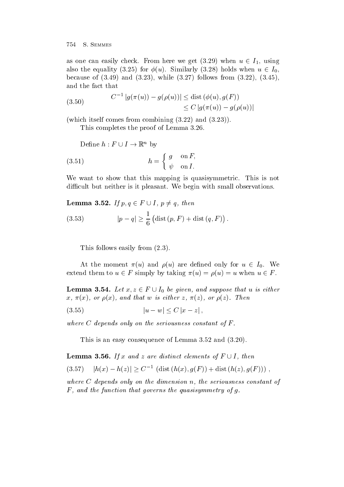as one can easily check. From here we get  $(3.29)$  when  $u \in I_1$ , using also the equality (3.25) for  $\phi(u)$ . Similarly (3.28) holds when  $u \in I_0$ , because of the contract of the contract of the contract of the contract of the contract of the contract of the **Contract Contract Contract Contract Contract Contract Contract Contract Contract Contract Contract Contract Contract Contract Contract Contract Contract Contract Contract Contract Contract Contract Contract Contract Contr** and the fact that

(3.50) 
$$
C^{-1} |g(\pi(u)) - g(\rho(u))| \leq \text{dist}(\phi(u), g(F))
$$

$$
\leq C |g(\pi(u)) - g(\rho(u))|
$$

which is a self-combined from combining  $\mathcal{E}$  and combined from combining  $\mathcal{E}$ 

This completes the proof of Lemma 3.26.

Define  $h : F \cup I \to \mathbb{R}^n$  by

(3.51) 
$$
h = \begin{cases} g & \text{on } F, \\ \psi & \text{on } I. \end{cases}
$$

We want to show that this mapping is quasisymmetric. This is not di-cult but neither is it pleasant We begin with small observations

Lemma 3.52. If  $p, q \in F \cup I$ ,  $p \neq q$ , then

(3.53) 
$$
|p - q| \ge \frac{1}{6} (\text{dist}(p, F) + \text{dist}(q, F)).
$$

This follows easily from  $(2.3)$ .

At the moment  $\pi(u)$  and  $\rho(u)$  are defined only for  $u \in I_0$ . We extend them to  $u \in F$  simply by taking  $\pi(u) = \rho(u) = u$  when  $u \in F$ .

**Lemma 3.54.** Let  $x, z \in F \cup I_0$  be given, and suppose that u is either - and the settlement of the settlement of the settlement of the settlement of the settlement of the settlement of the settlement of the settlement of the settlement of the settlement of the settlement of the settlement of

$$
(3.55) \t |u - w| \le C |x - z|
$$

where  $C$  depends only on the seriousness constant of  $F$ .

This is an easy consequence of Lemma  $3.52$  and  $(3.20)$ .

**Lemma 3.56.** If x and z are distinct elements of  $F \cup I$ , then

$$
(3.57) \quad |h(x) - h(z)| \ge C^{-1} \left( \text{dist} \left( h(x), g(F) \right) + \text{dist} \left( h(z), g(F) \right) \right) ,
$$

where C depends only on the dimension in the seriousness constant of the seriousness of F - and the function that governs the quasisymmetry of g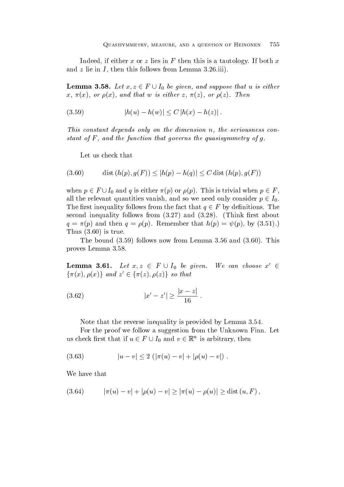Indeed, if either x or z lies in F then this is a tautology. If both x and z lie in I then this follows from Lemma iii

**Lemma 3.58.** Let  $x, z \in F \cup I_0$  be given, and suppose that u is either - and the settlement of the settlement of the settlement of the settlement of the settlement of the settlement of the settlement of the settlement of the settlement of the settlement of the settlement of the settlement of

$$
(3.59) \t\t\t |h(u) - h(w)| \le C |h(x) - h(z)|.
$$

This constant depends only on the dimension n- the seriousness con stant of F - and the function that governs the government of government and government and government and govern

Let us check that

$$
(3.60) \qquad \text{dist}\,(h(p),g(F)) \le |h(p) - h(q)| \le C \text{dist}\,(h(p),g(F))
$$

when  $p \in F \cup I_0$  and q is either  $\pi(p)$  or  $\rho(p)$ . This is trivial when  $p \in F$ , all the relevant quantities vanish, and so we need only consider  $p \in I_0$ . The first inequality follows from the fact that  $q \in F$  by definitions. The second in the second interval intervals from the second intervals of the second intervals of the second intervals of the second intervals of the second intervals of the second intervals of the second intervals of the secon and the property of the contract of the contract of the contract of the contract of the contract of the contract of the contract of the contract of the contract of the contract of the contract of the contract of the contra  $\blacksquare$   $\blacksquare$   $\blacksquare$   $\blacksquare$   $\blacksquare$   $\blacksquare$   $\blacksquare$   $\blacksquare$   $\blacksquare$   $\blacksquare$   $\blacksquare$   $\blacksquare$   $\blacksquare$   $\blacksquare$   $\blacksquare$   $\blacksquare$   $\blacksquare$   $\blacksquare$   $\blacksquare$   $\blacksquare$   $\blacksquare$   $\blacksquare$   $\blacksquare$   $\blacksquare$   $\blacksquare$   $\blacksquare$   $\blacksquare$   $\blacksquare$   $\blacksquare$   $\blacksquare$   $\blacksquare$   $\blacks$ 

The bound is now follows now follows now for the set of the set of the set of the set of the set of the set of proves Lemma

**Lemma 3.61.** Let  $x, z \in F \cup I_0$  be given. We can choose  $x' \in$  $\{\pi(x), \rho(x)\}\,$  and  $z' \in \{\pi(z), \rho(z)\}\,$  so that

(3.62) 
$$
|x'-z'| \ge \frac{|x-z|}{16}.
$$

Note that the reverse inequality is provided by Lemma 3.54.

For the proof we follow a suggestion from the Unknown Finn. Let us check first that if  $u \in F \cup I_0$  and  $v \in \mathbb{R}^n$  is arbitrary, then

$$
(3.63) \t |u - v| \le 2 (|\pi(u) - v| + |\rho(u) - v|) .
$$

We have that

(3.64) 
$$
|\pi(u) - v| + |\rho(u) - v| \ge |\pi(u) - \rho(u)| \ge \text{dist}(u, F),
$$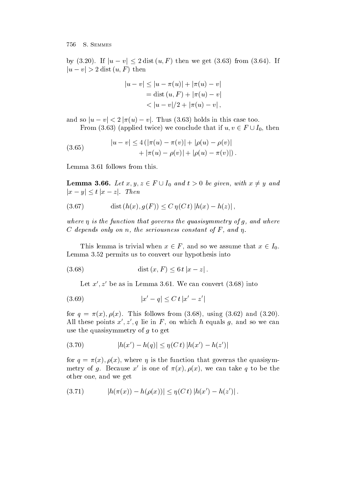by  $(3.20)$ . If  $|u - v| \le 2 \text{ dist } (u, F)$  then we get  $(3.63)$  from  $(3.64)$ . If  $|u - v| > 2$  dist  $(u, F)$  then

$$
|u - v| \le |u - \pi(u)| + |\pi(u) - v|
$$
  
= dist (u, F) + |\pi(u) - v|  
< |u - v|/2 + |\pi(u) - v|,

and so  $|u - v| < 2 |\pi(u) - v|$ . Thus (3.63) holds in this case too. From (3.63) (applied twice) we conclude that if  $u, v \in F \cup I_0$ , then

(3.65) 
$$
|u - v| \le 4(|\pi(u) - \pi(v)| + |\rho(u) - \rho(v)| + |\pi(u) - \rho(v)| + |\rho(u) - \pi(v)|).
$$

Lemma 3.61 follows from this.

**Lemma 3.66.** Let  $x, y, z \in F \cup I_0$  and  $t > 0$  be given, with  $x \neq y$  and  $|x-y| \leq t |x-z|$ . Then

(3.67) 
$$
\text{dist}(h(x), g(F)) \le C \eta(C t) |h(x) - h(z)|,
$$

where  $\eta$  is the function that governs the governs the governs that  $g$  is a g-strain sector of C depends only on n- the seriousness constant of F - and -

This lemma is trivial when  $x \in F$ , and so we assume that  $x \in I_0$ . Lemma  $3.52$  permits us to convert our hypothesis into

 dist x F <sup>t</sup> jx zj

Let  $x$  ,  $z$  be as in Lemma 5.01. We can convert (5.08) into

$$
(3.69) \t |x'-q| \leq C \, t \, |x'-z'|
$$

 $\mathbf{u}$  , and  $\mathbf{v}$  and  $\mathbf{v}$  follows from  $\mathbf{u}$  , and  $\mathbf{v}$  and  $\mathbf{v}$  and  $\mathbf{v}$  and  $\mathbf{v}$ All these points  $x', z', q$  lie in F, on which h equals g, and so we can use the quasisymmetry of g to get

(3.70) 
$$
|h(x') - h(q)| \leq \eta(C t) |h(x') - h(z')|
$$

 $\mathbf{u}$  is the function that governs the function that governs the quasisymmetric that governs the quasisymmetric  $\mathbf{u}$ metry of q. Because x is one of  $\pi(x)$ ,  $\rho(x)$ , we can take q to be the other one, and we get

$$
(3.71) \t\t\t |h(\pi(x)) - h(\rho(x))| \leq \eta(C t) |h(x') - h(z')|.
$$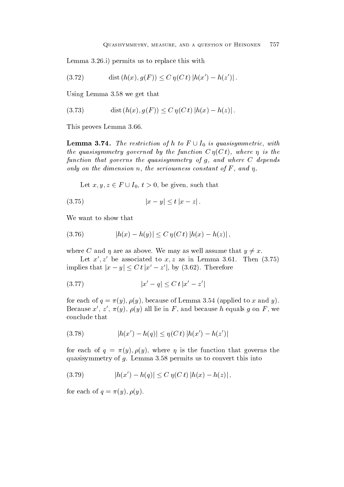Lemma i permits us to replace this with

(3.72) dist 
$$
(h(x), g(F)) \le C \eta(C t) |h(x') - h(z')|
$$
.

Using Lemma  $3.58$  we get that

(3.73) 
$$
\text{dist}(h(x), g(F)) \le C \eta(C t) |h(x) - h(z)|.
$$

This proves Lemma

**Lemma 3.74.** The restriction of h to  $F \cup I_0$  is quasisymmetric, with the governed by the function  $\mathcal{A}$  and function  $\mathcal{A}$  -contribution  $\mathcal{A}$  -contribution  $\mathcal{A}$  -contribution  $\mathcal{A}$ function that governs the quasisymmetry ofg- and where C depends only on the dimension n- the seriousness constant of F - and -

Let  $x, y, z \in F \cup I_0, t > 0$ , be given, such that

$$
(3.75) \t\t\t |x - y| \le t |x - z|.
$$

We want to show that

(3.76) 
$$
|h(x) - h(y)| \le C \eta(C t) |h(x) - h(z)|,
$$

where C and  $\eta$  are as above. We may as well assume that  $y \neq x$ .

Let  $x', z'$  be associated to  $x, z$  as in Lemma 3.61. Then  $(3.75)$ implies that  $|x-y| \leq C t |x'-z'|$ , by (3.62). Therefore

$$
(3.77) \t\t |x'-q| \leq C \, t \, |x'-z'|
$$

 $f$  for each of  $f$  and  $f$  and  $f$  and  $f$  are cause of  $f$  and  $f$  and  $f$  and  $f$  and  $f$  and  $f$  and  $f$  and  $f$  and  $f$  and  $f$  and  $f$  and  $f$  and  $f$  and  $f$  and  $f$  and  $f$  and  $f$  and  $f$  and  $f$  and  $f$  and  $f$  Because  $x$  ,  $z$  ,  $\pi(y)$ ,  $\rho(y)$  all lie in F, and because h equals q on F, we conclude that

(3.78) 
$$
|h(x') - h(q)| \leq \eta(C t) |h(x') - h(z')|
$$

for each of  $\eta$  , and  $\eta$  are function to the function that  $\eta$  is the function that  $\eta$ quasisymmetry of  $g$ . Lemma 3.58 permits us to convert this into

$$
(3.79) \t\t\t |h(x') - h(q)| \le C \eta(C t) |h(x) - h(z)|,
$$

 $\mathbf{y}$  . The contract of  $\mathbf{y}$  and  $\mathbf{y}$  and  $\mathbf{y}$  and  $\mathbf{y}$  and  $\mathbf{y}$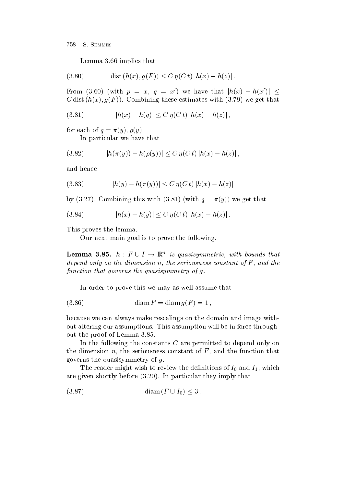Lemma  $3.66$  implies that

(3.80) dist 
$$
(h(x), g(F)) \le C \eta(C t) |h(x) - h(z)|
$$
.

From (3.60) (with  $p = x, q = x'$ ) we have that  $|h(x) - h(x')| \leq$ committee that has been computed to the computer that the set of the computer of the computer of the computer of the computer of the computer of the computer of the computer of the computer of the computer of the computer

(3.81) 
$$
|h(x) - h(q)| \le C \eta(C t) |h(x) - h(z)|,
$$

 $\mathbf{y} = \mathbf{y} + \mathbf{y} + \mathbf{y} + \mathbf{y} + \mathbf{y} + \mathbf{y}$ 

In particular we have that

(3.82) 
$$
|h(\pi(y)) - h(\rho(y))| \leq C \eta(C t) |h(x) - h(z)|,
$$

and hence

(3.83) 
$$
|h(y) - h(\pi(y))| \le C \eta(C t) |h(x) - h(z)|
$$

 $\mathcal{L}_{\mathcal{D}}$  , with  $\mathcal{L}_{\mathcal{D}}$  is we get the substitution of the computational contract of the computational contract of the contract of the contract of the contract of the contract of the contract of the contract o

(3.84) 
$$
|h(x) - h(y)| \le C \eta(C t) |h(x) - h(z)|.
$$

This proves the lemma

Our next main goal is to prove the following

**Lemma 3.85.**  $h: F \cup I \rightarrow \mathbb{R}^n$  is quasisymmetric, with bounds that depend on the dimension n-the dimension n-the seriousness constant of F - the seriousness constant of F - the seriousness constant of F - the seriousness constant of F - the seriousness constant of F - the seriousness cons function that governs the quasisymmetry of  $q$ .

In order to prove this we may as well assume that

 diam F diam gF 

because we can always make rescalings on the domain and image with out altering our assumptions. This assumption will be in force throughout the proof of Lemma

In the following the constants C are permitted to depend only on the dimension  $n$ , the seriousness constant of  $F$ , and the function that governs the quasisymmetry of  $g$ .

The reader might wish to review the denitions of I-C wish  $\mathbb{P}_1$  which is  $\mathbb{P}_1$ are given shortly before the shortly before the shortly that they imply that they imply that they imply that they imply that they imply that they imply they imply they imply that they imply that they imply they imply they

$$
(3.87) \qquad \qquad \text{diam}\,(F \cup I_0) \leq 3\,.
$$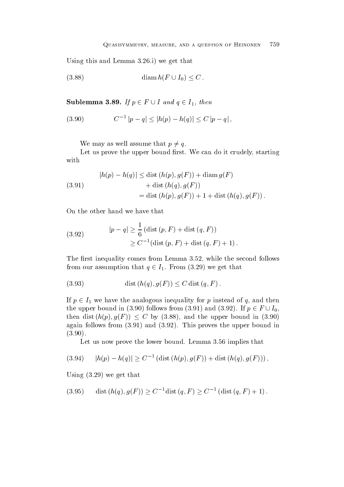$\mathcal{L} = \mathcal{L}$ 

$$
(3.88)\qquad \qquad \text{diam } h(F\cup I_0)\leq C\,.
$$

Sublemma 3.89. If  $p \in F \cup I$  and  $q \in I_1$ , then

$$
(3.90) \t C-1 |p - q| \le |h(p) - h(q)| \le C |p - q|,
$$

We may as well assume that  $p \neq q$ .

Let us prove the upper bound first. We can do it crudely, starting with

(3.91) 
$$
|h(p) - h(q)| \leq \text{dist}(h(p), g(F)) + \text{diam}(g(F)) + \text{dist}(h(q), g(F)) = \text{dist}(h(p), g(F)) + 1 + \text{dist}(h(q), g(F)).
$$

On the other hand we have that

(3.92) 
$$
|p - q| \ge \frac{1}{6} (\text{dist}(p, F) + \text{dist}(q, F))
$$

$$
\ge C^{-1} (\text{dist}(p, F) + \text{dist}(q, F) + 1).
$$

The first inequality comes from Lemma  $3.52$ , while the second follows from our assumption that  $q \in I_1$ . From (3.29) we get that

(3.93) dist 
$$
(h(q), g(F)) \leq C \text{ dist } (q, F)
$$
.

If  $p \in I_1$  we have the analogous inequality for p instead of q, and then the upper bound in (3.90) follows from (3.91) and (3.92). If  $p \in F \cup I_0$ , then dist  $(h(p), g(F)) \leq C$  by (3.88), and the upper bound in (3.90) again follows from the upper bound in the upper bound in the upper bound in the upper bound in the upper bound in the upper bound in the upper bound in the upper bound in the upper bound in the upper bound in the upper bou  $\sim$   $\sim$   $\sim$   $\sim$   $\sim$   $\sim$ 

Let us now prove the lower bound. Lemma  $3.56$  implies that

$$
(3.94) \qquad |h(p) - h(q)| \ge C^{-1} \left( \text{dist} \left( h(p), g(F) \right) + \text{dist} \left( h(q), g(F) \right) \right),
$$

USING TURES IN THE SERVICE OF THE GROUP OF THE SERVICE OF THE GROUP OF THE GROUP OF THE GROUP OF THE GROUP OF

(3.95) dist 
$$
(h(q), g(F)) \ge C^{-1}
$$
dist  $(q, F) \ge C^{-1}$  (dist  $(q, F) + 1$ ).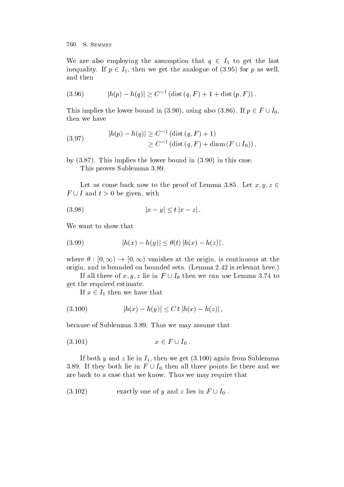We are also employing the assumption that  $q \in I_1$  to get the last inequality. If  $p \in I_1$ , then we get the analogue of (3.95) for p as well, and then

(3.96) 
$$
|h(p) - h(q)| \geq C^{-1} (\text{dist}(q, F) + 1 + \text{dist}(p, F)).
$$

This implies the lower bound in (3.90), using also (3.86). If  $p \in F \cup I_0$ , then we have

(3.97) 
$$
|h(p) - h(q)| \ge C^{-1} (\text{dist } (q, F) + 1)
$$

$$
\ge C^{-1} (\text{dist } (q, F) + \text{diam } (F \cup I_0)),
$$

by This implies the lower bound in in this case This proves Sublemma

Let us come back now to the proof of Lemma 3.85. Let  $x, y, z \in$  $F \cup I$  and  $t > 0$  be given, with

$$
(3.98) \t\t |x - y| \le t |x - z|.
$$

We want to show that

(3.99) 
$$
|h(x) - h(y)| \leq \theta(t) |h(x) - h(z)|,
$$

where  $\theta : [0, \infty) \to [0, \infty)$  vanishes at the origin, is continuous at the origin, and is bounded on bounded sets. (Lemma 2.42 is relevant here.)

If all three of  $x, y, z$  lie in  $F \cup I_0$  then we can use Lemma 3.74 to get the required estimate

If  $x \in I_1$  then we have that

$$
(3.100) \t\t\t |h(x) - h(y)| \le C \, t \, |h(x) - h(z)| \,,
$$

because of Sublemma 3.89. Thus we may assume that

$$
(3.101) \t\t x \in F \cup I_0 .
$$

If it is a contribution of the internal and  $\alpha$  is in I for  $\alpha$  in  $\alpha$  and the substitution of the substitution of  $\alpha$ 3.89. If they both lie in  $F \cup I_0$  then all three points lie there and we are back to a case that we know. Thus we may require that

(3.102) 
$$
exactly one of y and z lies in F \cup I_0 .
$$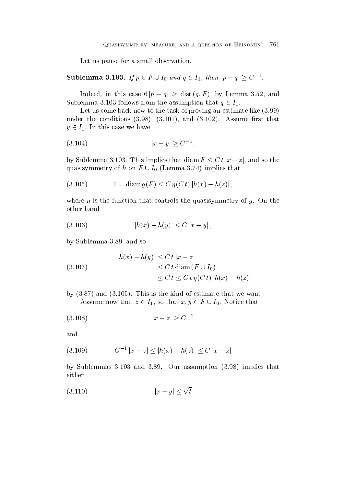Let us pause for a small observation.

# Sublemma 3.103. If  $p\in F\cup I_0$  and  $q\in I_1,$  then  $|p-q|\geq C^{-1}$ .

Indeed, in this case  $6|p - q| \geq \text{dist}(q, F)$ , by Lemma 3.52, and Sublemma 3.103 follows from the assumption that  $q \in I_1$ .

Let us come back now to the task of proving an estimate like  $(3.99)$  $\mathbf{v} = \mathbf{v} + \mathbf{v}$  and  $\mathbf{v} = \mathbf{v}$  and  $\mathbf{v} = \mathbf{v}$  . Assume rst that  $\mathbf{v} = \mathbf{v}$  $y \in I_1$ . In this case we have

$$
(3.104) \t\t |x - y| \ge C^{-1},
$$

by Sublemma 3.103. This implies that  $\text{diam}\, F \leq C t \, |x-z|,$  and so the quasisymmetry of h on  $F \cup I_0$  (Lemma 3.74) implies that

(3.105) 
$$
1 = \dim g(F) \le C \eta(C t) |h(x) - h(z)|,
$$

where  $\sim$  is the function that controls the function that controls the quasisymmetry of g On the g On the G O other hand

$$
(3.106) \t\t\t |h(x) - h(y)| \le C |x - y|,
$$

by Sublemma 3.89, and so

(3.107) 
$$
|h(x) - h(y)| \leq C t |x - z|
$$

$$
\leq C t \operatorname{diam}(F \cup I_0)
$$

$$
\leq C t \leq C t \eta(C t) |h(x) - h(z)|
$$

 $\mathbf{r}$  and  $\mathbf{r}$  is the kind of estimate that we want we want we want we want we want we want we want we want we want the set of  $\mathbf{r}$ Assume now that  $z \in I_1$ , so that  $x, y \in F \cup I_0$ . Notice that

$$
(3.108) \t\t |x-z| \ge C^{-1}
$$

and

$$
(3.109) \t C-1 |x - z| \le |h(x) - h(z)| \le C |x - z|
$$

by Sublemmas  and Our assumption implies that either

$$
(3.110) \t\t |x - y| \le \sqrt{t}
$$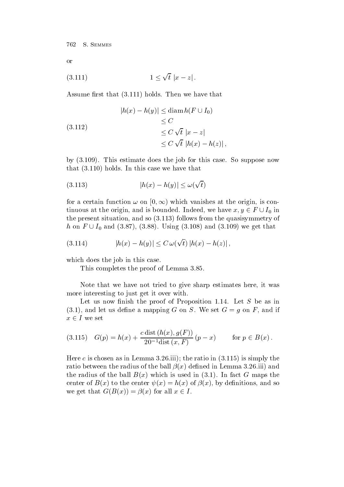or

$$
(3.111) \t\t\t 1 \leq \sqrt{t} \left| x - z \right|.
$$

 $\mathcal{A}$  . Then we have the that the that the that the that the that the that the that the that the that the that the that the that the then we have the three that the three that the three that the three that the three th

(3.112)  
\n
$$
|h(x) - h(y)| \leq \operatorname{diam} h(F \cup I_0)
$$
\n
$$
\leq C
$$
\n
$$
\leq C \sqrt{t} |x - z|
$$
\n
$$
\leq C \sqrt{t} |h(x) - h(z)|,
$$

by  This estimate does the job for this case So suppose now that (cross) methods in the this case we have the control

$$
(3.113)\qquad |h(x) - h(y)| \le \omega(\sqrt{t})
$$

for a certain function  $\omega$  on  $|0,\infty)$  which vanishes at the origin, is continuous at the origin, and is bounded. Indeed, we have  $x, y \in F \cup I_0$  in  $\mathbf r$  , the present situation and so  $\mathbf r$  is a so  $\mathbf r$  -follows from the quasisymmetry of  $\mathbf r$ h on  $F \cup I_0$  and (3.87), (3.88). Using (3.108) and (3.109) we get that

(3.114) 
$$
|h(x) - h(y)| \leq C \,\omega(\sqrt{t}) \, |h(x) - h(z)| \,,
$$

which does the job in this case.

This completes the proof of Lemma 3.85.

Note that we have not tried to give sharp estimates here, it was more interesting to just get it over with

Let us now finish the proof of Proposition 1.14. Let  $S$  be as in and let us denote a manpoint and if  $\alpha$  or  $\alpha$  and  $\alpha$  if  $\alpha$  if  $\alpha$  if  $\alpha$  if  $\alpha$  if  $\alpha$  if  $\alpha$  if  $\alpha$  $x \in I$  we set

(3.115) 
$$
G(p) = h(x) + \frac{c \operatorname{dist}(h(x), g(F))}{20^{-1} \operatorname{dist}(x, F)} (p - x)
$$
 for  $p \in B(x)$ .

. Here can increase as in Lemma is simply the ratio in Lemma in Lemma in Lemma in Lemma in Lemma in  $\mathbf{I}$ ratio between the radius of the ball x dened in Lemma iii and the radius of the ball  $\equiv$   $\{n_i\}$  complete in the fact  $\{n_i\}$  and the  $\infty$  maps  $\{n_i\}$ center of Bx to the center x hx of x by denitions and so we get that  $G(B(x)) = \beta(x)$  for all  $x \in I$ .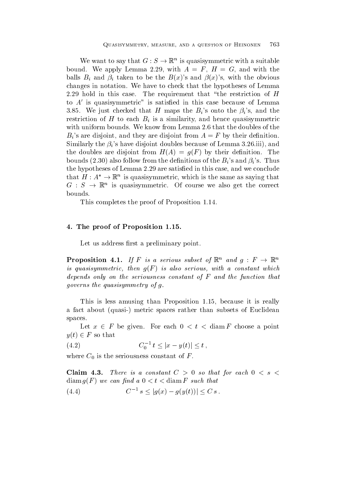We want to say that  $G : S \to \mathbb{K}^n$  is quasisymmetric with a suitable bound. We apply Lemma 2.29, with  $A = F$ ,  $H = G$ , and with the balls balls balls balls balls balls balls balls balls balls balls balls balls balls balls balls balls balls ba changes in notation We have to check that the hypotheses of Lemma 2.29 hold in this case. The requirement that "the restriction of  $H$ to  $A'$  is quasisymmetric" is satisfied in this case because of Lemma 3.85. We just checked that H maps the  $B_i$ 's onto the  $\beta_i$ 's, and the restriction of H to each  $B_i$  is a similarity, and hence quasisymmetric with uniform bounds. We know from Lemma 2.6 that the doubles of the  $B_i$ 's are disjoint, and they are disjoint from  $A = F$  by their definition. Similarly the i s have disjoint doubles because of Lemma iii and the doubles are disjoint from HA  $\rightarrow$  HA  $\rightarrow$  HA  $\rightarrow$  HA  $\rightarrow$  HA  $\rightarrow$  HA  $\rightarrow$  HA  $\rightarrow$  HA  $\rightarrow$  HA  $\rightarrow$  HA  $\rightarrow$  HA  $\rightarrow$  HA  $\rightarrow$  HA  $\rightarrow$  HA  $\rightarrow$  HA  $\rightarrow$  HA  $\rightarrow$  HA  $\rightarrow$  HA  $\rightarrow$  HA  $\rightarrow$  HA  $\rightarrow$  HA  $\rightarrow$  HA  $\rightarrow$  HA  $\rightarrow$  HA  $\rightarrow$ bounds also follow from the density of the Bi s and the Bi s and the Bi s and the Bi s and the Bi s and the Bi s and the Bi s and the Bi s and the Bi s and the Bi s and the Bi s and the Bi s and the Bi s and the Bi s and the hypotheses of Lemma 2.29 are satisfied in this case, and we conclude that  $H: A^* \to \mathbb{R}^n$  is quasisymmetric, which is the same as saying that  $G : S \to \mathbb{K}^n$  is quasisymmetric. Of course we also get the correct bounds

This completes the proof of Proposition 1.14.

### - The proof of Proposition --

Let us address first a preliminary point.

**Proposition 4.1.** If F is a serious subset of  $\mathbb{K}^n$  and  $q : F \to \mathbb{K}^n$ is quasisymmetric- then gF is also serious- with a constant which depends only on the seriousness constant of F and the function that governs the quasisymmetry of g

This is less amusing than Proposition 1.15, because it is really a fact about  $\mathbf{r}$  about  $\mathbf{r}$  . The subsets of Euclidean subsets of Euclidean subsets of Euclidean subsets of Euclidean subsets of Euclidean subsets of Euclidean subsets of Euclidean subsets of Euclidean subsets of spaces

Let  $x \in F$  be given. For each  $0 \lt t \lt \text{diam } F$  choose a point  $y(t) \in F$  so that

(4.2) 
$$
C_0^{-1} t \le |x - y(t)| \le t,
$$

where  $\sim$   $\sim$   $\mu$  . The seriousness constant of Fig. , where  $\mu$  is the seriousness constant of  $\mu$ 

Claim -- There is <sup>a</sup> constant <sup>C</sup> so that for each s diam group  $\alpha$  , and a such that  $\alpha$  is a such that the such that  $\alpha$ 

$$
(4.4) \tC^{-1} s \le |g(x) - g(y(t))| \le C s.
$$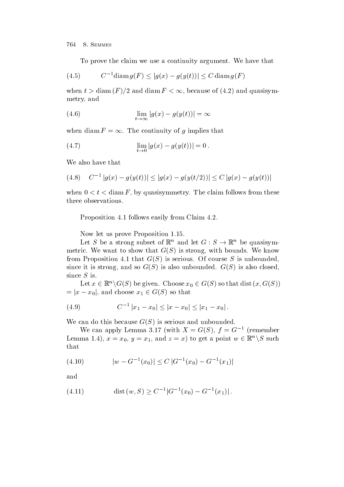To prove the claim we use a continuity argument. We have that

$$
(4.5) \t C-1 \operatorname{diam} g(F) \le |g(x) - g(y(t))| \le C \operatorname{diam} g(F)
$$

when  $t > \text{diam}(F)/2$  and  $\text{diam}(F) < \infty$ , because of (4.2) and quasisymmetry and

(4.6) 
$$
\lim_{t \to \infty} |g(x) - g(y(t))| = \infty
$$

when diam  $F = \infty$ . The continuity of g implies that

(4.7) 
$$
\lim_{t \to 0} |g(x) - g(y(t))| = 0.
$$

We also have that

$$
(4.8) \quad C^{-1} |g(x) - g(y(t))| \le |g(x) - g(y(t/2))| \le C |g(x) - g(y(t))|
$$

when  $0 < t < \text{diam } F$ , by quasisymmetry. The claim follows from these three observations

Proposition 4.1 follows easily from Claim 4.2.

Now let us prove Proposition 1.15.

Let S be a strong subset of  $\mathbb{R}^n$  and let  $G : S \to \mathbb{R}^n$  be quasisymmetric We want to show that GS is strong with bounds We know from Proposition  that GS is serious Of course S is unbounded since it is strong and so GS  $\sim$  GS  $\sim$  1. since  $S$  is.

Let  $x \in \mathbb{R}^n \backslash G(S)$  be given. Choose  $x_0 \in G(S)$  so that dist  $(x, G(S))$  $= |x - x_0|$ , and choose  $x_1 \in G(S)$  so that

$$
(4.9) \tC^{-1} |x_1 - x_0| \le |x - x_0| \le |x_1 - x_0|.
$$

 $\mathcal{L}$  is seen do the canonical dominant control to the canonical dominant control to the canonical dominant control to the case of  $\mathcal{L}$ 

We can apply Lemma 5.17 (with  $\Lambda = G(S)$ ,  $I = G^{-1}$  (remember Lemma 1.4),  $x = x_0, y = x_1$ , and  $z = x$  to get a point  $w \in \mathbb{R}^n \setminus S$  such that

$$
(4.10) \t |w - G^{-1}(x_0)| \le C |G^{-1}(x_0) - G^{-1}(x_1)|
$$

and

(4.11) 
$$
\operatorname{dist}(w, S) \ge C^{-1} |G^{-1}(x_0) - G^{-1}(x_1)|.
$$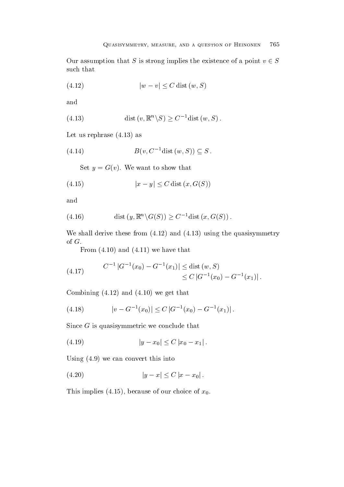Our assumption that S is strong implies the existence of a point  $v \in S$ such that

$$
(4.12) \t |w - v| \le C \operatorname{dist}\left(w, S\right)
$$

and

(4.13) 
$$
\operatorname{dist}(v, \mathbb{R}^n \backslash S) \ge C^{-1} \operatorname{dist}(w, S).
$$

Let us rephrase  as

$$
(4.14) \t B(v, C^{-1} \text{dist}(w, S)) \subseteq S.
$$

wo want to show the show that the show the set of the show that the show the show that is the show that is the show that is the show that is the show that is the show that is the show that is the show that is the show that

$$
(4.15) \t\t |x - y| \le C \operatorname{dist}\left(x, G(S)\right)
$$

and

(4.16) 
$$
\text{dist}(y, \mathbb{R}^n \backslash G(S)) \ge C^{-1} \text{dist}(x, G(S))
$$

where the shall derive the same  $\alpha$  is the state  $\alpha$  in the quasi-  $\alpha$  , and  $\alpha$ 

From  $(4.10)$  and  $(4.11)$  we have that

(4.17) 
$$
C^{-1} |G^{-1}(x_0) - G^{-1}(x_1)| \le \text{dist}(w, S) \le C |G^{-1}(x_0) - G^{-1}(x_1)|.
$$

 $\blacksquare$  and  $\blacksquare$  and  $\blacksquare$  and  $\blacksquare$  and  $\blacksquare$  and  $\blacksquare$  and  $\blacksquare$ 

$$
(4.18) \t\t |v - G^{-1}(x_0)| \le C |G^{-1}(x_0) - G^{-1}(x_1)|.
$$

Since  $G$  is quasisymmetric we conclude that

$$
(4.19) \t\t |y - x_0| \le C |x_0 - x_1|.
$$

Using (I.C.) into the converted the convert of  $\sim$ 

$$
(4.20) \t\t |y-x| \leq C |x-x_0|.
$$

 $\Gamma$  implies the choice of  $\Gamma$  implies of  $\Gamma$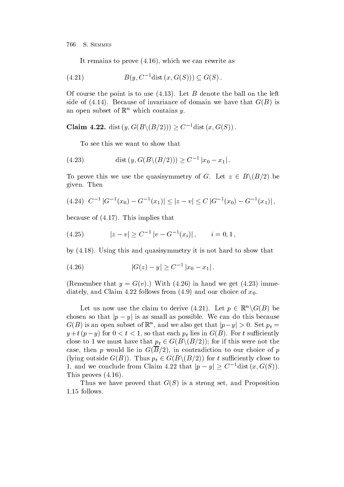$\mathbf{I}$  remains to prove the canonical prove the canonical prove the canonical prove the canonical prove the canonical prove the canonical prove the canonical prove the canonical prove the canonical prove the canonical p

$$
(4.21) \tB(y, C^{-1}dist(x, G(S))) \subseteq G(S).
$$

Of course the point is to use  Let B denote the ball on the left sinde of invariance of invariance of domain we have the set of domain we have that  $B$ an open subset of  $\mathbb{R}^n$  which contains y.

Claim 4.22. dist  $(y, G(B \setminus (B/2))) \geq C^{-1}$ dist  $(x, G(S))$ .

To see this we want to show that

(4.23) dist 
$$
(y, G(B \setminus (B/2))) \ge C^{-1} |x_0 - x_1|
$$
.

To prove this we use the quasisymmetry of G. Let  $z \in B \backslash (B/2)$  be given. Then

$$
(4.24) \ \ C^{-1} |G^{-1}(x_0) - G^{-1}(x_1)| \leq |z - v| \leq C |G^{-1}(x_0) - G^{-1}(x_1)|,
$$

 $\mathbf{r}$  is implied to the contract of the contract of the contract of the contract of the contract of the contract of the contract of the contract of the contract of the contract of the contract of the contract of the co

$$
(4.25) \t\t |z - v| \ge C^{-1} |v - G^{-1}(x_i)|, \t i = 0, 1,
$$

 $\mathcal{U}$  is the state that is not hard to show that is not hard to show that is not hard to show that is not hard to show that is not hard to show that is not hard to show that is not hard to show that is no hard to show

$$
(4.26) \t |G(z) - y| \ge C^{-1} |x_0 - x_1|.
$$

remember that the set of the state of the set of the set of the set of the state of the set of the set of the s diately and  $\alpha$  contracts from the choice of  $\alpha$  and  $\alpha$  and  $\alpha$  and  $\alpha$  and  $\alpha$  and  $\alpha$   $\alpha$ 

Let us now use the claim to derive (4.21). Let  $p \in \mathbb{R}^n \backslash G(B)$  be chosen so that  $|p - y|$  is as small as possible. We can do this because  $G(B)$  is an open subset of  $\mathbb{R}^n$  , and we also get that  $|p-y|>0.$  Set  $p_t=0$  $y \neq i$  ( $p - y$ ) for  $0 \leq i \leq 1$ , so that each  $p_t$  hes in  $G(D)$ . For t summerting close to 1 we must have that  $p_t \in G(B \setminus (B/2))$ ; for if this were not the case the pure in contradiction to provide the contradiction to our choice of pure in  $\rho$ (lying outside  $G(B)$ ). Thus  $p_t \in G(B \setminus (B/2))$  for t sufficiently close to 1, and we conclude from Claim 4.22 that  $|p - y| \geq C^{-1}$ dist  $(x, G(S))$  $T$   $\sim$   $T$   $\sim$   $T$   $\sim$   $T$   $\sim$   $T$   $\sim$   $T$   $\sim$   $T$   $\sim$   $T$   $\sim$   $T$   $\sim$   $T$   $\sim$   $T$   $\sim$   $T$   $\sim$   $T$   $\sim$   $T$   $\sim$   $T$   $\sim$   $T$   $\sim$   $T$   $\sim$   $T$   $\sim$   $T$   $\sim$   $T$   $\sim$   $T$   $\sim$   $T$   $\sim$   $T$   $\sim$   $T$   $\sim$   $T$ 

Thus we have proved that GS  $\sim$  is a strong set  $\sim$  strong set and Proposition  $1.15$  follows.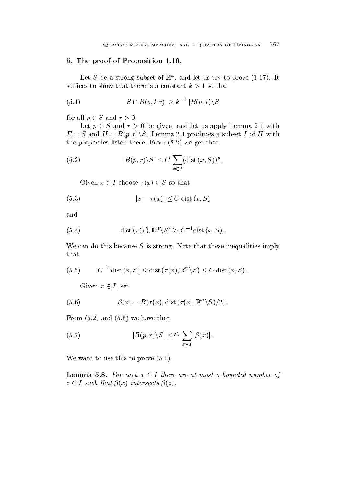#### - The proof of Proposition - The proof of Proposition - The proof of Proposition - The proof of Proposition -

Let  $S$  be a strong subset of  $\mathbb R$  , and let us try to prove (1.17). It

(5.1) 
$$
|S \cap B(p, k r)| \geq k^{-1} |B(p, r) \setminus S|
$$

for all  $p \in S$  and  $r > 0$ .

Let  $p \in S$  and  $r > 0$  be given, and let us apply Lemma 2.1 with  $E = S$  and  $H = B(p,r) \backslash S$ . Lemma 2.1 produces a subset I of H with the properties listed there is the properties listed that the properties listed that the second there is no set

(5.2) 
$$
|B(p,r)\backslash S| \leq C \sum_{x\in I} (\text{dist}(x, S))^n.
$$

Given  $x \in I$  choose  $\tau(x) \in S$  so that

(5.3) 
$$
|x - \tau(x)| \le C \operatorname{dist}(x, S)
$$

and

(5.4) dist 
$$
(\tau(x), \mathbb{R}^n \setminus S) \ge C^{-1}
$$
dist  $(x, S)$ .

We can do this because  $S$  is strong. Note that these inequalities imply that

$$
(5.5) \t C-1 dist (x, S) \leq dist (\tau(x), \mathbb{R}^n \setminus S) \leq C dist (x, S).
$$

Given  $x \in I$ , set

(5.6) 
$$
\beta(x) = B(\tau(x), \text{dist}(\tau(x), \mathbb{R}^n \setminus S)/2).
$$

 $\blacksquare$  . The from  $\blacksquare$  that the that the that the that the that the that the that the that the that the that the that the three that the three three three three three three three three three three three three three thre

(5.7) 
$$
|B(p,r)\backslash S| \leq C \sum_{x\in I} |\beta(x)|.
$$

We want to use the use this to prove the top the second term of the second term of the second term of the second term of the second term of the second term of the second term of the second term of the second term of the se

**Lemma 5.8.** For each  $x \in I$  there are at most a bounded number of  $z \in I$  such that  $\beta(x)$  intersects  $\beta(z)$ .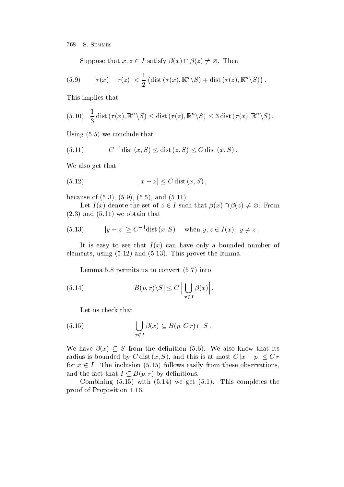Suppose that  $x, z \in I$  satisfy  $\beta(x) \cap \beta(z) \neq \emptyset$ . Then

(5.9) 
$$
|\tau(x) - \tau(z)| < \frac{1}{2} \left( \text{dist} \left( \tau(x), \mathbb{R}^n \backslash S \right) + \text{dist} \left( \tau(z), \mathbb{R}^n \backslash S \right) \right).
$$

This implies that

(5.10) 
$$
\frac{1}{3}
$$
 dist  $(\tau(x), \mathbb{R}^n \setminus S) \le$  dist  $(\tau(z), \mathbb{R}^n \setminus S) \le 3$  dist  $(\tau(x), \mathbb{R}^n \setminus S)$ .

 $\mathbf{u} = \mathbf{u}$ 

(5.11) 
$$
C^{-1}
$$
dist  $(x, S) \le$ dist  $(z, S) \le C$ dist  $(x, S)$ .

We also get that

$$
(5.12) \t\t |x-z| \le C \operatorname{dist}(x, S),
$$

 $\mathbf{b}$  , and  $\mathbf{b}$  , and  $\mathbf{b}$  , and  $\mathbf{b}$  , and  $\mathbf{b}$  , and  $\mathbf{b}$ 

Let  $I(x)$  denote the set of  $z \in I$  such that  $\beta(x) \cap \beta(z) \neq \emptyset$ . From  $\mathbf{v}$  , we obtain that the contract of the contract of the contract of the contract of the contract of the contract of the contract of the contract of the contract of the contract of the contract of the contract of the

(5.13) 
$$
|y - z| \ge C^{-1}
$$
dist  $(x, S)$  when  $y, z \in I(x), y \ne z$ .

It is easy to see that I am have only a bounded number of the I am have only a bounded number of the I am have elements using the lemma of the lemma of the lemma of the lemma of the lemma of the lemma of the lemma of the l

Lemma permits us to convert the convert of the convert of the convert of the convert of the convert of the co

(5.14) 
$$
|B(p,r)\backslash S| \le C \left|\bigcup_{x \in I} \beta(x)\right|.
$$
 Let us check that

(5.15) 
$$
\bigcup_{x \in I} \beta(x) \subseteq B(p, Cr) \cap S.
$$

We have  $\beta(x) \subseteq S$  from the definition (5.6). We also know that its radius is bounded by C dist  $(x, S)$ , and this is at most  $C |x - p| \le C r$ for  $x \in I$ . The inclusion (5.15) follows easily from these observations, and the fact that  $I \subseteq B(p,r)$  by definitions.

with the complete the complete the complete  $\alpha$  and  $\alpha$  and  $\alpha$  and  $\alpha$  and  $\alpha$  and  $\alpha$  and  $\alpha$ proof of Proposition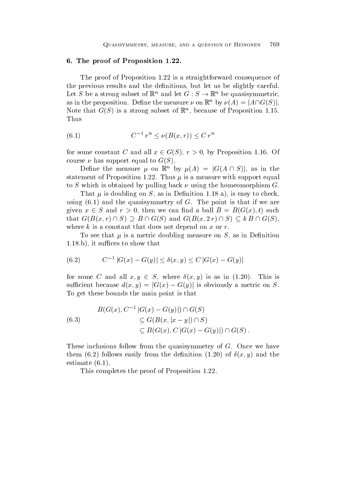#### - The proof of Proposition - The proof of Proposition - The proof of Proposition - The proof of Proposition -

The proof of Proposition 1.22 is a straightforward consequence of the previous results and the definitions, but let us be slightly careful. Let S be a strong subset of  $\mathbb{R}^n$  and let  $G : S \to \mathbb{R}^n$  be quasisymmetric, as in the proposition. Define the measure  $\nu$  on  $\mathbb{R}^n$  by  $\nu(A) = |A \cap G(S)|$ . ivote that  $G(S)$  is a strong subset of  $\mathbb R$  , because of Proposition 1.15. Thus

(6.1) 
$$
C^{-1} r^n \le \nu(B(x, r)) \le C r^n
$$

for some constant C and all  $x \in G(S)$ ,  $r > 0$ , by Proposition 1.16. Of course  $\nu$  has support equal to  $G(S)$ .

Define the measure  $\mu$  on  $\mathbb{R}^n$  by  $\mu(A) = |G(A \cap S)|$ , as in the statement of Proposition and Proposition and Proposition and Proposition and Proposition and Proposition and P to S which is obtained by pulling back  $\nu$  using the homeomorphism G.

 $\mathbb{R}^n$  is doubling on S as in Denition  $\mathbb{R}^n$  as in Denition  $\mathbb{R}^n$ using  and the quasisymmetry of G The point is that if we are given  $x \in S$  and  $r > 0$ , then we can find a ball  $B = B(G(x), t)$  such that  $G(B(x,r) \cap S) \supseteq B \cap G(S)$  and  $G(B(x, 2r) \cap S) \subseteq kB \cap G(S)$ , the contract of the contract of the contract of the contract of the contract of where  $k$  is a constant that does not depend on  $x$  or  $r$ .

To see that is a metric doubling measure on  $I$  as in  $I$  as in Denition measure on  $I$  $\mathbf{f}$  is such that the supervisor of  $\mathbf{f}$  is such that the supervisor of  $\mathbf{f}$  is such that the supervisor of  $\mathbf{f}$ 

(6.2) 
$$
C^{-1} |G(x) - G(y)| \le \delta(x, y) \le C |G(x) - G(y)|
$$

for some C and all  $x, y \in S$ , where  $\delta(x, y)$  is as in (1.20). This is sufficient because  $d(x, y) = |G(x) - G(y)|$  is obviously a metric on S. To get these bounds the main point is that

$$
B(G(x), C^{-1} |G(x) - G(y)|) \cap G(S)
$$
  
\n
$$
\subseteq G(B(x, |x - y|) \cap S)
$$
  
\n
$$
\subseteq B(G(x), C |G(x) - G(y)|) \cap G(S).
$$

These inclusions follow from the quasisymmetry of  $G$ . Once we have  $\mathbf{r}$  , and the density from the density from the density from the density from the density of  $\mathbf{r}$  $\blacksquare$ estimates the state  $\blacksquare$ 

This completes the proof of Proposition 1.22.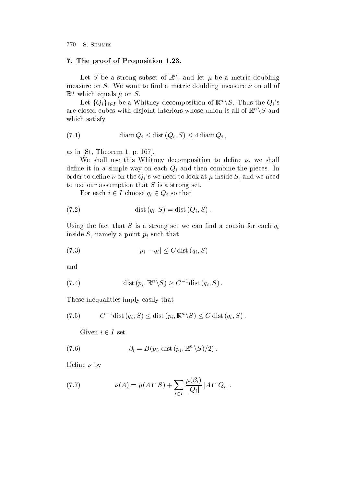#### - The proof of Proposition - The proof of Proposition - The proof of Proposition - The proof of Proposition -

Let  $S$  be a strong subset of  $\mathbb R$  , and let  $\mu$  be a metric doubling measure on S. We want to find a metric doubling measure  $\nu$  on all of  $\mathbb{R}^n$  which equals  $\mu$  on  $\sigma$ .

Let  $\{Q_i\}_{i\in I}$  be a Whitney decomposition of  $\mathbb{R}^n\setminus S$ . Thus the  $Q_i$ 's are closed cubes with disjoint interiors whose union is all of  $\mathbb{R}^n \setminus S$  and which satisfy

(7.1) 
$$
\text{diam } Q_i \leq \text{dist } (Q_i, S) \leq 4 \text{diam } Q_i ,
$$

as in  $[St, Theorem 1, p. 167]$ .

We shall use this Whitney decomposition to define  $\nu$ , we shall define it in a simple way on each  $Q_i$  and then combine the pieces. In order to deneed to the the Qi s we heart to look at the My heart to look at the Heart Company of the My the S and we to use our assumption that  $S$  is a strong set.

For each  $i \in I$  choose  $q_i \in Q_i$  so that

$$
(7.2) \qquad \qquad \text{dist}\left(q_i, S\right) = \text{dist}\left(Q_i, S\right).
$$

Using the fact that S is a strong set we can find a cousin for each  $q_i$ inside  $S$ , namely a point  $p_i$  such that

$$
(7.3) \t\t\t |p_i - q_i| \le C \operatorname{dist}(q_i, S)
$$

and

(7.4) 
$$
\text{dist}(p_i, \mathbb{R}^n \setminus S) \geq C^{-1} \text{dist}(q_i, S) .
$$

These inequalities imply easily that

$$
(7.5) \t C-1 dist (qi, S) \leq dist (pi, \mathbb{R}n \setminus S) \leq C dist (qi, S).
$$

Given  $i \in I$  set

(7.6) 
$$
\beta_i = B(p_i, \text{dist}(p_i, \mathbb{R}^n \backslash S)/2).
$$

Define  $\nu$  by

(7.7) 
$$
\nu(A) = \mu(A \cap S) + \sum_{i \in I} \frac{\mu(\beta_i)}{|Q_i|} |A \cap Q_i|.
$$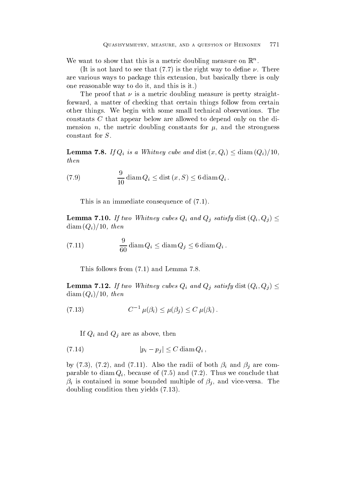We want to show that this is a metric doubling measure on  $\mathbb{R}$  .

It is not hard to see that the right way to denote the right way to denote the right way to denote the right way to denote the right way to denote the right way to denote the right way to denote the right way to denote th are various ways to package this extension but basically there is only one reasonable way to do it, and this is it.)

The proof that  $\nu$  is a metric doubling measure is pretty straightforward, a matter of checking that certain things follow from certain other things. We begin with some small technical observations. The constants C that appear below are allowed to depend only on the di mension n the metric doubling constants for and the strongness constant for S

**Lemma 7.8.** If  $Q_i$  is a Whitney cube and dist  $(x, Q_i) \leq \text{diam}(Q_i)/10$ , then

(7.9) 
$$
\frac{9}{10} \operatorname{diam} Q_i \le \operatorname{dist} (x, S) \le 6 \operatorname{diam} Q_i.
$$

This is an immediate consequence of  $(7.1)$ .

**Lemma 7.10.** If two Whitney cubes  $Q_i$  and  $Q_j$  satisfy dist  $(Q_i, Q_j) \leq$ diam  $\sum_{i=1}^n a_i = a_i$  , and a set of the set of the set of the set of the set of the set of the set of the set of the set of the set of the set of the set of the set of the set of the set of the set of the set of the set o

(7.11) 
$$
\frac{9}{60} \operatorname{diam} Q_i \le \operatorname{diam} Q_j \le 6 \operatorname{diam} Q_i.
$$

This follows from  and Lemma

**Lemma 7.12.** If two Whitney cubes  $Q_i$  and  $Q_j$  satisfy dist  $(Q_i, Q_j) \leq$  $\mathcal{N}$  and  $\mathcal{N}$  and  $\mathcal{N}$  and  $\mathcal{N}$  are then  $\mathcal{N}$ 

(7.13) 
$$
C^{-1} \mu(\beta_i) \leq \mu(\beta_j) \leq C \mu(\beta_i).
$$

If  $Q_i$  and  $Q_j$  are as above, then

$$
(7.14) \t\t\t |p_i - p_j| \le C \operatorname{diam} Q_i ,
$$

 $\mathbf{v}$  and  $\mathbf{v}$  are computed by a structure of both  $\mathbf{v}$  and  $\mathbf{v}$  are computed by a structure of  $\mathbf{v}$ parable to diameter  $\mathbf{v}_i$  , and the concluded that  $\mathbf{v}_i$  is the conclusion of  $\mathbf{v}_i$  $\beta_i$  is contained in some bounded multiple of  $\beta_j$ , and vice-versa. The doubling condition the set of the set of the set of the set of the set of the set of the set of the set of the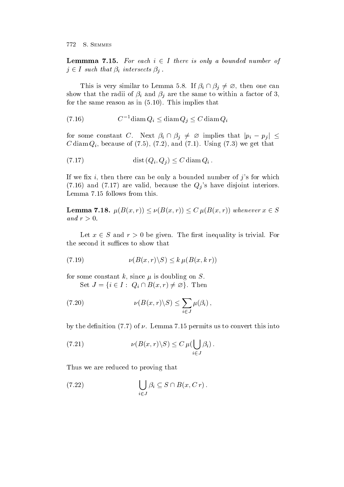**Lemmma 7.15.** For each  $i \in I$  there is only a bounded number of  $j \in I$  such that  $\beta_i$  intersects  $\beta_j$ .

This is very similar to Lemma 5.8. If  $\beta_i \cap \beta_j \neq \emptyset$ , then one can show that the radii of  $\beta_i$  and  $\beta_j$  are the same to within a factor of 3,  $\mathbf{r} = \mathbf{r} \cdot \mathbf{r}$ 

$$
(7.16) \tC-1 \text{diam } Q_i \le \text{diam } Q_j \le C \text{diam } Q_i
$$

for some constant C. Next  $\beta_i \cap \beta_j \neq \emptyset$  implies that  $|p_i - p_j| \leq$  $\sim$  diam  $\sim$  contracts of  $\setminus \cdot$  ,  $\cdot$  ,  $\setminus \cdot$  ,  $\cdot$  ,  $\cdot$  ,  $\sim$  ,  $\cdot$  ,  $\sim$  ,  $\sim$  ,  $\sim$  ,  $\sim$  ,  $\sim$  ,  $\sim$  ,  $\sim$  ,  $\sim$  ,  $\sim$  ,  $\sim$  ,  $\sim$  ,  $\sim$  ,  $\sim$  ,  $\sim$  ,  $\sim$  ,  $\sim$  ,  $\sim$  ,  $\sim$  ,  $\sim$  ,  $\sim$ 

 dist Qi Qj <sup>C</sup> diam Qi

If we fix i, then there can be only a bounded number of j's for which and are valid because the contract interiors interiors in the contract interiors interiors interiors interiors Lemma 7.15 follows from this.

**Lemma 7.18.**  $\mu(B(x,r)) \leq \nu(B(x,r)) \leq C \mu(B(x,r))$  whenever  $x \in S$ and  $r > 0$ .

Let  $x \in S$  and  $r > 0$  be given. The first inequality is trivial. For

(7.19) 
$$
\nu(B(x,r)\backslash S) \le k \mu(B(x,kr))
$$

for some constant k since  $\mathbf{f}$  since  $\mathbf{f}$  since  $\mathbf{f}$  since  $\mathbf{f}$ Set  $J = \{i \in I : Q_i \cap B(x, r) \neq \emptyset\}$ . Then

(7.20) 
$$
\nu(B(x,r)\backslash S) \leq \sum_{i\in J}\mu(\beta_i),
$$

 $\alpha$  , the denotes the permit  $\beta$  and  $\beta$  are the density of  $\alpha$  and  $\beta$  into  $\beta$  into  $\beta$ 

(7.21) 
$$
\nu(B(x,r)\backslash S) \leq C \,\mu(\bigcup_{i\in J}\beta_i)\,.
$$

Thus we are reduced to proving that

(7.22) 
$$
\bigcup_{i \in J} \beta_i \subseteq S \cap B(x, Cr).
$$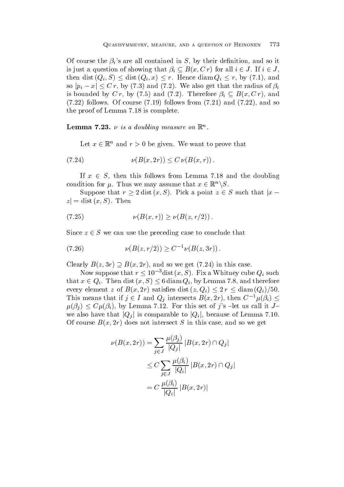Of course the  $\beta_i$ 's are all contained in S, by their definition, and so it is just a question of showing that  $\beta_i \subseteq B(x, C r)$  for all  $i \in J$ . If  $i \in J$ , then dist  $(Q_i, S) \leq \text{dist}(Q_i, x) \leq r$ . Hence  $\text{diam } Q_i \leq r$ , by (7.1), and so  $|p_i - x| \leq C r$ , by (7.3) and (7.2). We also get that the radius of  $\beta_i$ is bounded by C r, by (7.5) and (7.2). Therefore  $\beta_i \subseteq B(x, Cr)$ , and  $f: I \longrightarrow I$  follows from  $f: I \longrightarrow I$  follows from  $f: I \longrightarrow I$ the proof of Lemma  $7.18$  is complete.

**Lemma 1.25.**  $\nu$  is a aouvang measure on  $\mathbb{R}^n$ .

Let  $x \in \mathbb{R}^n$  and  $r > 0$  be given. We want to prove that

(7.24) 
$$
\nu(B(x, 2r)) \le C \nu(B(x, r)).
$$

If  $x \in S$ , then this follows from Lemma 7.18 and the doubling condition for  $\mu$ . Thus we may assume that  $x \in \mathbb{R}^n \setminus S$ .

Suppose that  $r \geq 2$  dist  $(x, S)$ . Pick a point  $z \in S$  such that  $|x |z| = \text{dist}(x, S)$ . Then

(7.25) 
$$
\nu(B(x,r)) \geq \nu(B(z,r/2)).
$$

Since  $z \in S$  we can use the preceding case to conclude that

$$
(7.26) \t\t \nu(B(z, r/2)) \ge C^{-1} \nu(B(z, 3r))
$$

Clearly  $B(z, 3r) \supseteq B(x, 2r)$ , and so we get  $(7.24)$  in this case.

Now suppose that  $r \leq 10^{-3}$ dist  $(x, S)$ . Fix a Whitney cube  $Q_i$  such that  $x \in Q_i$ . Then dist  $(x, S) \leq 6 \text{ diam } Q_i$ , by Lemma 7.8, and therefore every element z of  $B(x, 2r)$  satisfies dist  $(z, Q_i) \leq 2r \leq \text{diam}(Q_i)/50$ . This means that if  $j \in I$  and  $Q_j$  intersects  $B(x, 2r)$ , then  $C^{-1}\mu(\beta_i) \leq$  $\mu(\beta_i) \leq C \mu(\beta_i)$ , by Lemma 7.12. For this set of j's -let us call it Jwe also have that  $|Q_i|$  is comparable to  $|Q_i|$ , because of Lemma 7.10.  $\mathcal{C}$  and so we get  $\mathcal{C}$  intersect  $\mathcal{C}$  intersect  $\mathcal{C}$  intersect  $\mathcal{C}$ 

$$
\nu(B(x, 2r)) = \sum_{j \in J} \frac{\mu(\beta_j)}{|Q_j|} |B(x, 2r) \cap Q_j|
$$
  

$$
\leq C \sum_{j \in J} \frac{\mu(\beta_i)}{|Q_i|} |B(x, 2r) \cap Q_j|
$$
  

$$
= C \frac{\mu(\beta_i)}{|Q_i|} |B(x, 2r)|
$$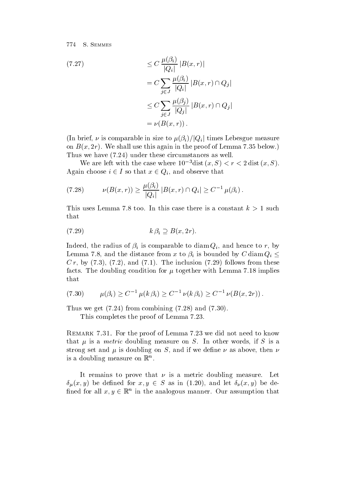$$
\leq C \frac{\mu(\beta_i)}{|Q_i|} |B(x, r)|
$$
  
\n
$$
= C \sum_{j \in J} \frac{\mu(\beta_i)}{|Q_i|} |B(x, r) \cap Q_j|
$$
  
\n
$$
\leq C \sum_{j \in J} \frac{\mu(\beta_j)}{|Q_j|} |B(x, r) \cap Q_j|
$$
  
\n
$$
= \nu(B(x, r)).
$$

(In brief,  $\nu$  is comparable in size to  $\mu(\beta_i)/|Q_i|$  times Lebesgue measure on Bax results in the proof of Lemma and the proof of Lemma . It is a second of  $\mathbb{R}^n$  $\mathbf{V}$  . Thus we have the these circumstances as well as well as well as well as well as well as well as well as well as well as well as well as well as well as well as well as well as well as well as well as well as we

We are left with the case where 10  $\alpha$  also  $(x, \beta) \leq r \leq 2$  dist  $(x, \beta)$ . Again choose  $i \in I$  so that  $x \in Q_i$ , and observe that

(7.28) 
$$
\nu(B(x,r)) \geq \frac{\mu(\beta_i)}{|Q_i|} |B(x,r) \cap Q_i| \geq C^{-1} \mu(\beta_i).
$$

This uses Lemma 7.8 too. In this case there is a constant  $k > 1$  such that

$$
(7.29) \t\t k \beta_i \supseteq B(x, 2r).
$$

Indeed, the radius of  $\beta_i$  is comparable to diam  $Q_i$ , and hence to r, by Lemma 7.8, and the distance from x to  $\beta_i$  is bounded by C diam  $Q_i \leq$ c r by the international contracts for the international contracts from the contracts of the international contracts of the contracts of the international contracts of the contracts of the contracts of the contracts of the facts The doubling condition for together with Lemma  implies that

$$
(7.30) \qquad \mu(\beta_i) \ge C^{-1} \mu(k \beta_i) \ge C^{-1} \nu(k \beta_i) \ge C^{-1} \nu(B(x, 2r)).
$$

thus we get a finite combined when the combined of the combined of the combined of the combined of the combined

This completes the proof of Lemma 7.23.

Remark - For the proof of Lemma we did not need to know that is a metric doubling measure on S is a measure of  $\sim$  is a metric  $\sim$  is a set  $\sim$ strong set and is doubling on S and if we dene as above then is a doubling measure on  $\mathbb{R}^n$ .

It remains to prove that  $\nu$  is a metric doubling measure. Let  $\delta_{\mu}(x, y)$  be defined for  $x, y \in S$  as in (1.20), and let  $\delta_{\nu}(x, y)$  be defined for all  $x, y \in \mathbb{R}^n$  in the analogous manner. Our assumption that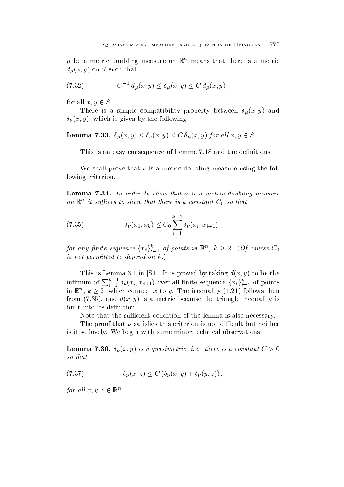$\mu$  be a metric doubling measure on  $\kappa$  means that there is a metric  $\mu$  y  $\mu$  y  $\mu$   $\sim$ 

(7.32) 
$$
C^{-1} d_{\mu}(x, y) \leq \delta_{\mu}(x, y) \leq C d_{\mu}(x, y),
$$

for all  $x, y \in S$ .

There is a simple compatibility property and  $\mu$  and  $\mu$  and  $\mu$  and  $\mu$   $\mu$  and  $\mu$  $\mathcal{V}$  is given by the following by the following by the following by the following by the following by  $\mathcal{V}$ 

**Lemma 7.33.**  $\delta_u(x, y) \leq \delta_v(x, y) \leq C \, \delta_u(x, y)$  for all  $x, y \in S$ .

This is an easy consequence of Lemma 7.18 and the definitions.

We shall prove that  $\nu$  is a metric doubling measure using the following criterion.

 $\mathcal{L}_{\mathcal{A}}$  -formulation to show that is a metric doubling measure doubling measure doubling measurement on  $\mathbb{R}^n$  it suffices to show that there is a constant  $\mathcal{C}_0$  so that

(7.35) 
$$
\delta_{\nu}(x_1, x_k) \leq C_0 \sum_{i=1}^{k-1} \delta_{\nu}(x_i, x_{i+1}),
$$

for any finite sequence  $\{x_i\}_{i=1}^k$  of points in  $\mathbb{R}^n$ ,  $k\geq 2$ . (Of course  $C_0$ is not permitted to depend on  $k$ .)

 $T$  is lemma is lemma in Section , we have the taking distribution of  $T$  is proved by taking distribution of  $T$ infimum of  $\sum_{i=1}^{k-1} \delta_{\nu}(x_i, x_{i+1})$  over all finite sequence  $\{x_i\}_{i=1}^k$  of points in  $\mathbb{R}^n$ ,  $k \geq 2$ , which connect x to y. The inequality (1.21) follows then from and dx y is a metric because the triangle inequality is built into its definition.

Note that the su-cient condition of the lemma is also necessary

The proof that is not distinct but neither that is not distinct but neither the cult but neither the cult but n is it so lovely. We begin with some minor technical observations.

 $\mathbb{R}^n \setminus \{ \mathcal{U} \}$  is a constant  $\mathcal{U} = \{ \mathcal{U} \}$  is a constant C in the constant C in the constant C in the constant C in the constant C in the constant C in the constant C in the constant C in the constant C in so that

$$
(7.37) \t\t \delta_{\nu}(x,z) \leq C \left( \delta_{\nu}(x,y) + \delta_{\nu}(y,z) \right),
$$

for all  $x, y, z \in \mathbb{R}^n$ .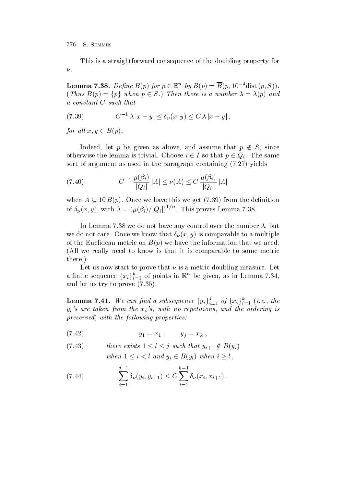This is a straightforward consequence of the doubling property for  $\nu$ .

**Lemma 7.38.** Define  $B(p)$  for  $p \in \mathbb{R}^n$  by  $B(p) = B(p, 10^{-4} \text{dist}(p, S)).$  $(Thus B(p) = \{p\} when p \in S.)$  Then there is a number  $\lambda = \lambda(p)$  and a constant C such that

(7.39) 
$$
C^{-1}\lambda |x-y| \leq \delta_{\nu}(x,y) \leq C\lambda |x-y|,
$$

for all  $x, y \in B(p)$ .

Indeed, let p be given as above, and assume that  $p \notin S$ , since otherwise the lemma is trivial. Choose  $i \in I$  so that  $p \in Q_i$ . The same sort of argument as used in the paragraph containing of argument as used in the paragraph containing of a structure

(7.40) 
$$
C^{-1} \frac{\mu(\beta_i)}{|Q_i|} |A| \le \nu(A) \le C \frac{\mu(\beta_i)}{|Q_i|} |A|
$$

when  $A \subseteq 10B(p)$ . Once we have this we get (7.39) from the definition of  $\delta_{\nu}(x, y)$ , with  $\lambda = (\mu(\beta_i)/|Q_i|)^{1/n}$ . This proves Lemma 7.38.

In Lemma 7.38 we do not have any control over the number  $\lambda$ , but where  $\mathbb{Z}$  is comparable to a multiple to a multiple to a multiple to a multiple to a multiple to a multiple to a multiple to a multiple to a multiple to a multiple to a multiple to a multiple to a multiple to a multi of the Euclidean metric on  $\mathbb{R}$  we have the information that we need that we need that we need that we need All we really need to know is that it is comparable to some metric there

Let us now start to prove that  $\nu$  is a metric doubling measure. Let a finite sequence  $\{x_i\}_{i=1}^k$  of points in  $\mathbb{R}^n$  be given, as in Lemma 7.34, and discussed and let us the prove that is a set of the set of the set of the set of the set of the set of the

**Lemma 7.41.** We can find a subsequence  $\{y_i\}_{i=1}^j$  of  $\{x_i\}_{i=1}^k$  (i.e., the  $\mathcal{W}$ is are taken from the ordering is and the ordering is a repetition of  $\mathcal{W}$ preserved the following properties properties.

$$
(7.42) \t\t y_1 = x_1 , \t y_j = x_k ,
$$

(7.43) *there exists* 
$$
1 \le l \le j
$$
 *such that*  $y_{i+1} \notin B(y_i)$   
*when*  $1 \le i < l$  *and*  $y_i \in B(y_l)$  *when*  $i \ge l$ ,

(7.44) 
$$
\sum_{i=1}^{j-1} \delta_{\nu}(y_i, y_{i+1}) \leq C \sum_{i=1}^{k-1} \delta_{\nu}(x_i, x_{i+1}).
$$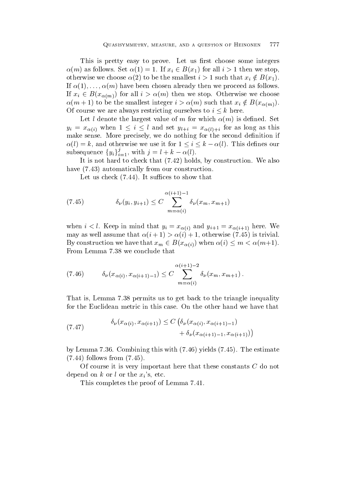This is pretty easy to prove. Let us first choose some integers  $\alpha(m)$  as follows. Set  $\alpha(1) = 1$ . If  $x_i \in B(x_1)$  for all  $i > 1$  then we stop, otherwise we choose  $\alpha(2)$  to be the smallest  $i > 1$  such that  $x_i \notin B(x_1)$ . If  m have been chosen already then we proceed as follows If  $x_i \in B(x_{\alpha(m)})$  for all  $i > \alpha(m)$  then we stop. Otherwise we choose  $\alpha(m+1)$  to be the smallest integer  $i > \alpha(m)$  such that  $x_i \notin B(x_{\alpha(m)})$ Of course we are always restricting ourselves to  $i \leq k$  here.

Let ldenote the largest value of m for which m is dened Set  $y_i = x_{\alpha(i)}$  when  $1 \leq i \leq l$  and set  $y_{l+i} = x_{\alpha(l)+i}$  for as long as this make sense. More precisely, we do nothing for the second definition if  $\alpha(l) = k$ , and otherwise we use it for  $1 \leq i \leq k - \alpha(l)$ . This defines our subsequence  $\{y_i\}_{i=1}^j$ , with  $j = l + k - \alpha(l)$ .

It is not holds by construction  $\mathbf{I}$  is not hard to construction We also by construction We also by construction  $\mathbf{I}$ have the construction of the construction of the construction of the construction of the construction of the co

Let us check It su-ces to show that

(7.45) 
$$
\delta_{\nu}(y_i, y_{i+1}) \leq C \sum_{m=\alpha(i)}^{\alpha(i+1)-1} \delta_{\nu}(x_m, x_{m+1})
$$

when  $i < l$ . Keep in mind that  $y_i = x_{\alpha(i)}$  and  $y_{i+1} = x_{\alpha(i+1)}$  here. We is a strivial assume that is trivial assume that is trivial assume that is trivial assume that is trivial assume that  $\mathbf{r}$ By construction we have that  $x_m \in B(x_{\alpha(i)})$  when  $\alpha(i) \leq m < \alpha(m+1)$ . From Lemma 7.38 we conclude that

(7.46) 
$$
\delta_{\nu}(x_{\alpha(i)}, x_{\alpha(i+1)-1}) \leq C \sum_{m=\alpha(i)}^{\alpha(i+1)-2} \delta_{\nu}(x_m, x_{m+1}).
$$

That is, Lemma 7.38 permits us to get back to the triangle inequality for the Euclidean metric in this case. On the other hand we have that

(7.47) 
$$
\delta_{\nu}(x_{\alpha(i)}, x_{\alpha(i+1)}) \leq C \left( \delta_{\nu}(x_{\alpha(i)}, x_{\alpha(i+1)-1}) + \delta_{\nu}(x_{\alpha(i+1)-1}, x_{\alpha(i+1)}) \right)
$$

 $\alpha$  , and the estimate  $\alpha$  the estimate  $\alpha$  is the estimate  $\beta$  , the estimate  $\beta$ follows from

Of course it is very important here that these constants C do not depend on k or l or the  $x_i$ 's, etc.

This completes the proof of Lemma 7.41.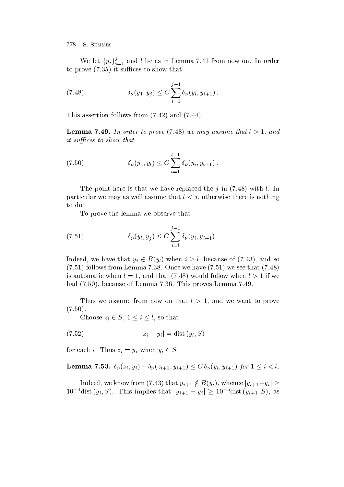We let  $\{y_i\}_{i=1}^j$  and l be as in Lemma 7.41 from now on. In order to prove the proven in the supersymmetric  $\mathbf{r}$  is supported to show that  $\mathbf{r}$ 

(7.48) 
$$
\delta_{\nu}(y_1, y_j) \leq C \sum_{i=1}^{j-1} \delta_{\nu}(y_i, y_{i+1}).
$$

This assertion follows from  $\mathbf{r}$  assertion follows from  $\mathbf{r}$ 

Lemma -- In order to prove we may assume that l - and  $it$  suffices to show that

(7.50) 
$$
\delta_{\nu}(y_1, y_l) \leq C \sum_{i=1}^{l-1} \delta_{\nu}(y_i, y_{i+1}).
$$

The point here is that we have replaced the junction of the junction  $\mathcal{M}$  in the junction of the junction  $\mathcal{M}$ particular we may as well assume that  $l < j$ , otherwise there is nothing to do

To prove the lemma we observe that

(7.51) 
$$
\delta_{\nu}(y_i, y_j) \leq C \sum_{i=l}^{j-1} \delta_{\nu}(y_i, y_{i+1}).
$$

Indeed, we have that  $y_i \in B(y_i)$  when  $i \geq l$ , because of (7.43), and so follows from Lemma once we have  $\mathbb{R}^n$  . The concentration of  $\mathbb{R}^n$ is a unit when l and that  $\mathbf{I}$  and that  $\mathbf{I}$  we have when l  $\mathbf{I}$  we have that  $\mathbf{I}$ had a because of Lemma . This proves Lemma . The contract of Lemma . The contract of Lemma . The contract of L

Thus we assume from now on that  $l > 1$ , and we want to prove  $\cdots$   $\cdots$ 

Choose  $z_i \in S$ ,  $1 \leq i \leq l$ , so that

$$
(7.52) \t\t |z_i - y_i| = \text{dist}(y_i, S)
$$

for each *i*. Thus  $z_i = y_i$  when  $y_i \in S$ .

**Lemma 7.53.**  $\delta_{\nu}(z_i, y_i) + \delta_{\nu}(z_{i+1}, y_{i+1}) \leq C \delta_{\nu}(y_i, y_{i+1})$  for  $1 \leq i < l$ .

Indeed, we know from (7.43) that  $y_{i+1} \notin B(y_i)$ , whence  $|y_{i+1} - y_i| \ge$  $10^{-4}$  dist  $(y_i, S)$ . This implies that  $|y_{i+1} - y_i| \ge 10^{-5}$  dist  $(y_{i+1}, S)$ , as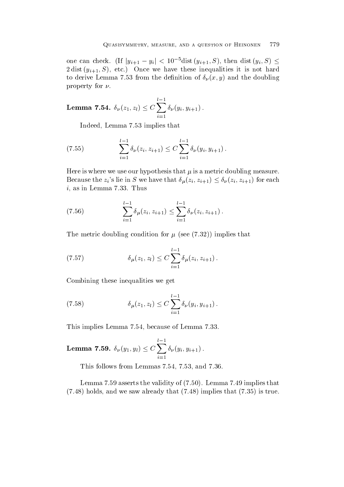one can check. (If  $|y_{i+1} - y_i| < 10^{-5}$ dist  $(y_{i+1}, S)$ , then dist  $(y_i, S) \leq$  $\mathcal{M}$ to derive Lemma from the doubling  $\mathcal{U} \setminus \{1, \mathcal{U}\}$ property for  $\nu$ .

**Lemma 7.54.** 
$$
\delta_{\nu}(z_1, z_l) \leq C \sum_{i=1}^{l-1} \delta_{\nu}(y_i, y_{i+1}).
$$

Indeed, Lemma 7.53 implies that

$$
(7.55) \qquad \sum_{i=1}^{l-1} \delta_{\nu}(z_i, z_{i+1}) \leq C \sum_{i=1}^{l-1} \delta_{\nu}(y_i, y_{i+1}).
$$

 $H^*$  is a metric doubling measurement of  $\mathbb{R}^n$ Because the  $z_i$ 's lie in S we have that  $\delta_\mu(z_i, z_{i+1}) \leq \delta_\nu(z_i, z_{i+1})$  for each  $i$ , as in Lemma 7.33. Thus

(7.56) 
$$
\sum_{i=1}^{l-1} \delta_{\mu}(z_i, z_{i+1}) \leq \sum_{i=1}^{l-1} \delta_{\nu}(z_i, z_{i+1}).
$$

The metric doubling condition for  $\mathbb{R}^n$  ,  $\mathbb{R}^n$  ,  $\mathbb{R}^n$  ,  $\mathbb{R}^n$  ,  $\mathbb{R}^n$  ,  $\mathbb{R}^n$  ,  $\mathbb{R}^n$  ,  $\mathbb{R}^n$  ,  $\mathbb{R}^n$  ,  $\mathbb{R}^n$  ,  $\mathbb{R}^n$  ,  $\mathbb{R}^n$  ,  $\mathbb{R}^n$  ,  $\mathbb{R}^n$  ,  $\mathbb{$ 

(7.57) 
$$
\delta_{\mu}(z_1, z_l) \leq C \sum_{i=1}^{l-1} \delta_{\mu}(z_i, z_{i+1}).
$$

Combining these inequalities we get

(7.58) 
$$
\delta_{\mu}(z_1, z_l) \leq C \sum_{i=1}^{l-1} \delta_{\nu}(y_i, y_{i+1}).
$$

This implies Lemma 7.54, because of Lemma 7.33.

**Lemma 7.59.** 
$$
\delta_{\nu}(y_1, y_l) \leq C \sum_{i=1}^{l-1} \delta_{\nu}(y_i, y_{i+1}).
$$

This follows from Lemmas  $7.54$ ,  $7.53$ , and  $7.36$ .

Lemma asserts the validity of Lemma implies that holds and we saw already that is true that the same of the same same same saw all that the same same same same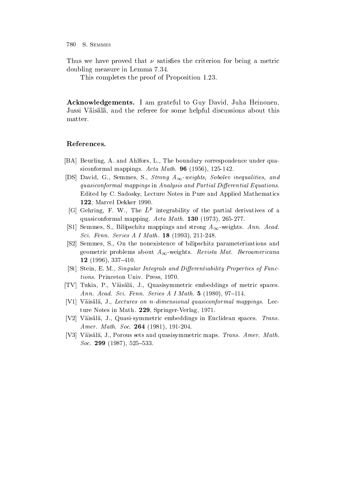Thus we have proved that  $\nu$  satisfies the criterion for being a metric doubling measure in Lemma

This completes the proof of Proposition 1.23.

Acknowledgements- I am grateful to Guy David Juha Heinonen Jussi Väisälä, and the referee for some helpful discussions about this matter

## References-

- [BA] Beurling, A. and Ahlfors, L., The boundary correspondence under quasiconformal mappings Acta Math- - - -
- [DS] David, G., Semmes, S., Strong  $A_{\infty}$ -weights, Sobolev inequalities, and quasiconformal mappings in Analysis and Partial Differential Equations. Edited by C. Sadosky, Lecture Notes in Pure and Applied Mathematics 122, Marcel Dekker 1990.
- $|G|$  Gehring, F. W., The  $L^r$  integrability of the partial derivatives of a  $\blacksquare$  . The conformal map is a set of  $\blacksquare$  . Acta Mathematical Mathematical Mathematical Mathematical Mathematical Mathematical Mathematical Mathematical Mathematical Mathematical Mathematical Mathematical Mathematical
- Is all representations of the Semi-Line and strong and strong and strong and strong and strong and strong and <u>s cor – enno a coc es – en enno – per er pes – es – e</u>
- S- Semmes S On the nonexistence of bilipschitz parameterizations and  $\alpha$  is revistad matrix  $\alpha$  about  $\alpha$  about  $\alpha$  about  $\alpha$  about  $\alpha$  about  $\alpha$  about  $\alpha$  about  $\alpha$  about  $\alpha$  about  $\alpha$  about  $\alpha$  about  $\alpha$  about  $\alpha$  about  $\alpha$  about  $\alpha$  about  $\alpha$  about  $\alpha$  about  $\alpha$  about \_\_ , \_ . . . , . . . . \_ \_ . .
- [St] Stein, E. M., Singular Integrals and Differentiability Properties of Functions. Princeton Univ. Press, 1970.
- TV Tukia P Vaisala J Quasisymmetric embeddings of metric spaces achin continued a since A I May the Continued to the first series and the series of the series and the series
- [V1] Väisälä, J., Lectures on n-dimensional quasiconformal mappings. Lecture Notes in Math. 229, Springer-Verlag, 1971.
- V- Vaisala J Quasisymmetric embeddings in Euclidean spaces Trans-Amer- Math- Soc- - -
- V Vaisala
J
Porous sets and quasisymmetric maps Trans- Amer- Math-Soc- -